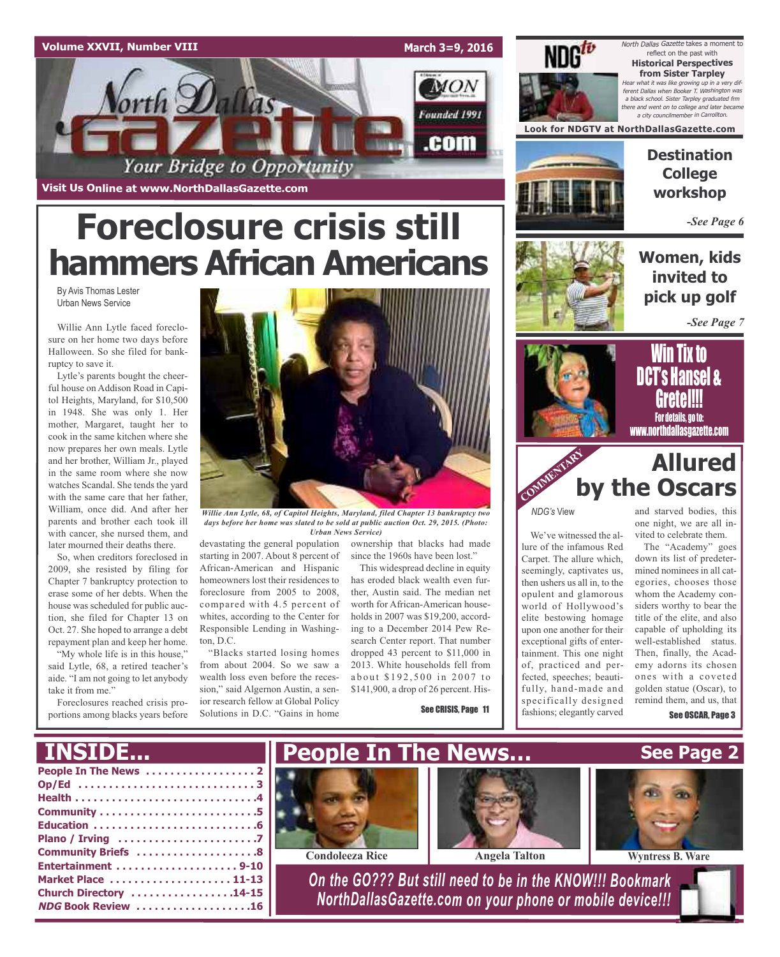### **Volume XXVII, Number VIII**

**Visit Us Online at www.NorthDallasGazette.com**

orth Dallas

**March 3=9, 2016**

MON

Founded 1991

.com



North Dallas Gazette takes a moment to reflect on the past with **Historical Perspectives from Sister Tarpley** Hear what it was like growing up in <sup>a</sup> very different Dallas when Booker T. Washington was <sup>a</sup> black school. Sister Tarpley graduated frm there and went on to college and later became a city councilmember in Carrol

**Look for NDGTV at NorthDallasGazette.com**



**Destination College workshop**

*-See Page 6*

# **Foreclosure crisis still hammers African Americans**

Your Bridge to Opportunity

By Avis Thomas Lester Urban News Service

Willie Ann Lytle faced foreclosure on her home two days before Halloween. So she filed for bankruptcy to save it.

Lytle's parents bought the cheerful house on Addison Road in Capitol Heights, Maryland, for \$10,500 in 1948. She was only 1. Her mother, Margaret, taught her to cook in the same kitchen where she now prepares her own meals. Lytle and her brother, William Jr., played in the same room where she now watches Scandal. She tends the yard with the same care that her father, William, once did. And after her parents and brother each took ill with cancer, she nursed them, and later mourned their deaths there.

So, when creditors foreclosed in 2009, she resisted by filing for Chapter 7 bankruptcy protection to erase some of her debts. When the house was scheduled for public auction, she filed for Chapter 13 on Oct. 27. She hoped to arrange a debt repayment plan and keep her home.

"My whole life is in this house," said Lytle, 68, a retired teacher's aide. "I am not going to let anybody take it from me.'

Foreclosures reached crisis proportions among blacks years before



*Willie Ann Lytle, 68, of Capitol Heights, Maryland, filed Chapter 13 bankruptcy two days before her home was slated to be sold at public auction Oct. 29, 2015. (Photo: Urban News Service)*

devastating the general population starting in 2007. About 8 percent of African-American and Hispanic homeowners lost their residences to foreclosure from 2005 to 2008, compared with 4.5 percent of whites, according to the Center for Responsible Lending in Washington, D.C.

"Blacks started losing homes from about 2004. So we saw a wealth loss even before the recession," said Algernon Austin, a senior research fellow at Global Policy Solutions in D.C. "Gains in home

ownership that blacks had made since the 1960s have been lost."

This widespread decline in equity has eroded black wealth even further, Austin said. The median net worth for African-American households in 2007 was \$19,200, according to a December 2014 Pew Research Center report. That number dropped 43 percent to \$11,000 in 2013. White households fell from about \$192,500 in 2007 to \$141,900, a drop of 26 percent. His-

See CRISIS, Page 11



### **Women, kids invited to pick up golf**

*-See Page 7*



### **Allured by the Oscars** COMMENTARY R

*NDG's* View

We've witnessed the allure of the infamous Red Carpet. The allure which, seemingly, captivates us, then ushers us all in, to the opulent and glamorous world of Hollywood's elite bestowing homage upon one another for their exceptional gifts of entertainment. This one night of, practiced and perfected, speeches; beautifully, hand-made and specifically designed fashions; elegantly carved

and starved bodies, this one night, we are all invited to celebrate them.

The "Academy" goes down its list of predetermined nominees in all categories, chooses those whom the Academy considers worthy to bear the title of the elite, and also capable of upholding its well-established status. Then, finally, the Academy adorns its chosen ones with a coveted golden statue (Oscar), to remind them, and us, that See OSCAR, Page 3

#### **People In The News . . . . . . . . . . . . . . . . . . 2 Op/Ed . . . . . . . . . . . . . . . . . . . . . . . . . . . . . 3 Health . . . . . . . . . . . . . . . . . . . . . . . . . . . . . .4 Community . . . . . . . . . . . . . . . . . . . . . . . . . .5 Education . . . . . . . . . . . . . . . . . . . . . . . . . . .6 Plano / Irving . . . . . . . . . . . . . . . . . . . . . . .7 Community Briefs . . . . . . . . . . . . . . . . . . . .8 Entertainment . . . . . . . . . . . . . . . . . . . . 9-10 Market Place . . . . . . . . . . . . . . . . . . . . 11-13 Church Directory . . . . . . . . . . . . . . . . .14-15 NDG Book Review . . . . . . . . . . . . . . . . . . .16** *On the GO??? But still need to be in the KNOW!!! Bookmark NorthDallasGazette.com on your phone or mobile device!!!* **INSIDE... See Page 2 People In The News… Condoleeza** Rice **Angela** Talton **Wyntress B. Ware**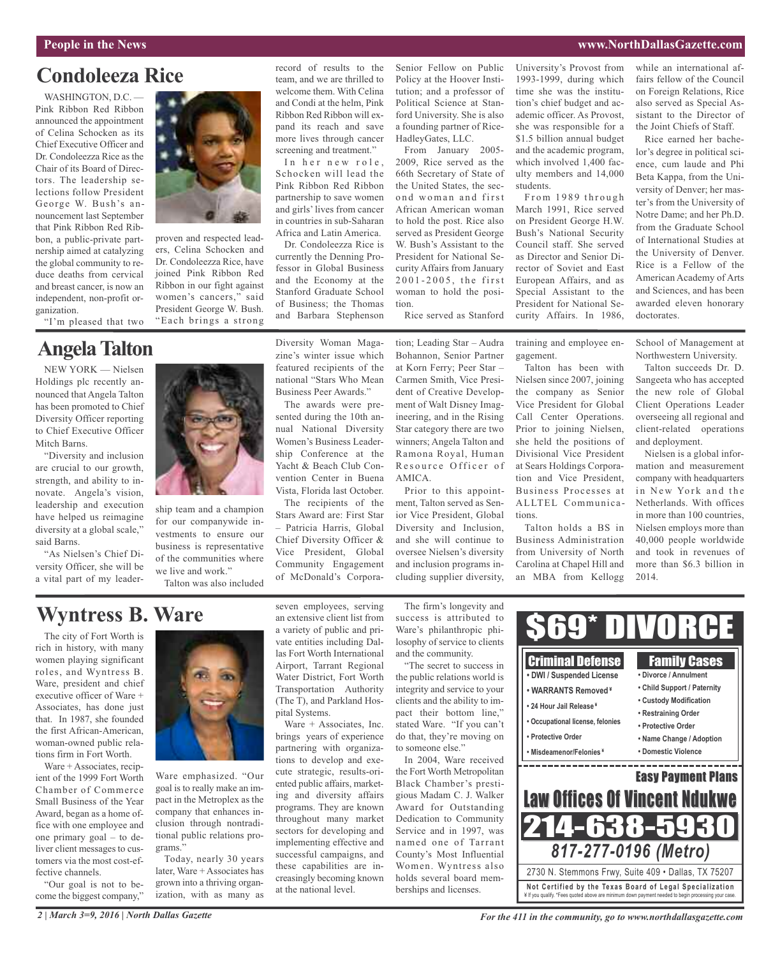## **Condoleeza Rice**

WASHINGTON, D.C. -Pink Ribbon Red Ribbon announced the appointment of Celina Schocken as its Chief Executive Officer and Dr. Condoleezza Rice as the Chair of its Board of Directors. The leadership selections follow President George W. Bush's announcement last September that Pink Ribbon Red Ribbon, a public-private partnership aimed at catalyzing the global community to reduce deaths from cervical and breast cancer, is now an independent, non-profit organization.



## **AngelaTalton**

NEW YORK — Nielsen Holdings plc recently announced that Angela Talton has been promoted to Chief Diversity Officer reporting to Chief Executive Officer Mitch Barns.

"Diversity and inclusion are crucial to our growth, strength, and ability to innovate. Angela's vision, leadership and execution have helped us reimagine diversity at a global scale," said Barns.

"As Nielsen's Chief Diversity Officer, she will be a vital part of my leader-



proven and respected leaders, Celina Schocken and Dr. Condoleezza Rice, have joined Pink Ribbon Red Ribbon in our fight against women's cancers," said President George W. Bush. "Each brings a strong record of results to the team, and we are thrilled to welcome them. With Celina and Condi at the helm, Pink Ribbon Red Ribbon will expand its reach and save more lives through cancer screening and treatment."

In her new role, Schocken will lead the Pink Ribbon Red Ribbon partnership to save women and girls'lives from cancer in countries in sub-Saharan Africa and Latin America.

Dr. Condoleezza Rice is currently the Denning Professor in Global Business and the Economy at the Stanford Graduate School of Business; the Thomas and Barbara Stephenson

Diversity Woman Magazine's winter issue which featured recipients of the national "Stars Who Mean Business Peer Awards." The awards were presented during the 10th annual National Diversity Women's Business Leadership Conference at the Yacht & Beach Club Convention Center in Buena Vista, Florida last October. The recipients of the Stars Award are: First Star – Patricia Harris, Global Chief Diversity Officer & Vice President, Global Community Engagement of McDonald's Corpora-

Senior Fellow on Public Policy at the Hoover Institution; and a professor of Political Science at Stanford University. She is also a founding partner of Rice-HadleyGates, LLC.

From January 2005- 2009, Rice served as the 66th Secretary of State of the United States, the second woman and first African American woman to hold the post. Rice also served as President George W. Bush's Assistant to the President for National Security Affairs from January 2001-2005, the first woman to hold the position.

Rice served as Stanford

tion; Leading Star – Audra Bohannon, Senior Partner at Korn Ferry; Peer Star – Carmen Smith, Vice President of Creative Development of Walt Disney Imagineering, and in the Rising Star category there are two winners; Angela Talton and Ramona Royal, Human Resource Officer of AMICA.

Prior to this appointment, Talton served as Senior Vice President, Global Diversity and Inclusion, and she will continue to oversee Nielsen's diversity and inclusion programs including supplier diversity,

University's Provost from 1993-1999, during which time she was the institution's chief budget and academic officer. As Provost, she was responsible for a \$1.5 billion annual budget and the academic program, which involved 1,400 faculty members and 14,000 students.

From 1989 through March 1991, Rice served on President George H.W. Bush's National Security Council staff. She served as Director and Senior Director of Soviet and East European Affairs, and as Special Assistant to the President for National Security Affairs. In 1986,

training and employee en-

Talton has been with Nielsen since 2007, joining the company as Senior Vice President for Global Call Center Operations. Prior to joining Nielsen, she held the positions of Divisional Vice President at Sears Holdings Corporation and Vice President, Business Processes at ALLTEL Communica-

Talton holds a BS in Business Administration from University of North Carolina at Chapel Hill and an MBA from Kellogg

gagement.

tions.

on Foreign Relations, Rice also served as Special Assistant to the Director of the Joint Chiefs of Staff. Rice earned her bache-

while an international affairs fellow of the Council

lor's degree in political science, cum laude and Phi Beta Kappa, from the University of Denver; her master's from the University of Notre Dame; and her Ph.D. from the Graduate School of International Studies at the University of Denver. Rice is a Fellow of the American Academy of Arts and Sciences, and has been awarded eleven honorary doctorates.

School of Management at Northwestern University.

Talton succeeds Dr. D. Sangeeta who has accepted the new role of Global Client Operations Leader overseeing all regional and client-related operations and deployment.

Nielsen is a global information and measurement company with headquarters in New York and the Netherlands. With offices in more than 100 countries Nielsen employs more than 40,000 people worldwide and took in revenues of more than \$6.3 billion in 2014.

ship team and a champion for our companywide investments to ensure our business is representative of the communities where we live and work." Talton was also included

## **Wyntress B. Ware**

The city of Fort Worth is rich in history, with many women playing significant roles, and Wyntress B. Ware, president and chief executive officer of Ware + Associates, has done just that. In 1987, she founded the first African-American, woman-owned public relations firm in Fort Worth.

Ware + Associates, recipient of the 1999 Fort Worth Chamber of Commerce Small Business of the Year Award, began as a home office with one employee and one primary goal – to deliver client messages to customers via the most cost-effective channels.

"Our goal is not to become the biggest company,"



Ware emphasized. "Our goal is to really make an impact in the Metroplex as the company that enhances inclusion through nontraditional public relations programs."

Today, nearly 30 years later, Ware + Associates has grown into a thriving organization, with as many as seven employees, serving an extensive client list from a variety of public and private entities including Dallas Fort Worth International Airport, Tarrant Regional Water District, Fort Worth Transportation Authority (The T), and Parkland Hospital Systems.

Ware + Associates, Inc. brings years of experience partnering with organizations to develop and execute strategic, results-oriented public affairs, marketing and diversity affairs programs. They are known throughout many market sectors for developing and implementing effective and successful campaigns, and these capabilities are increasingly becoming known at the national level.

The firm's longevity and success is attributed to Ware's philanthropic philosophy of service to clients and the community.

"The secret to success in the public relations world is integrity and service to your clients and the ability to impact their bottom line," stated Ware. "If you can't do that, they're moving on to someone else."

In 2004, Ware received the Fort Worth Metropolitan Black Chamber's prestigious Madam C. J. Walker Award for Outstanding Dedication to Community Service and in 1997, was named one of Tarrant County's Most Influential Women. Wyntress also holds several board memberships and licenses.



*2 | March 3=9, 2016 | North Dallas Gazette*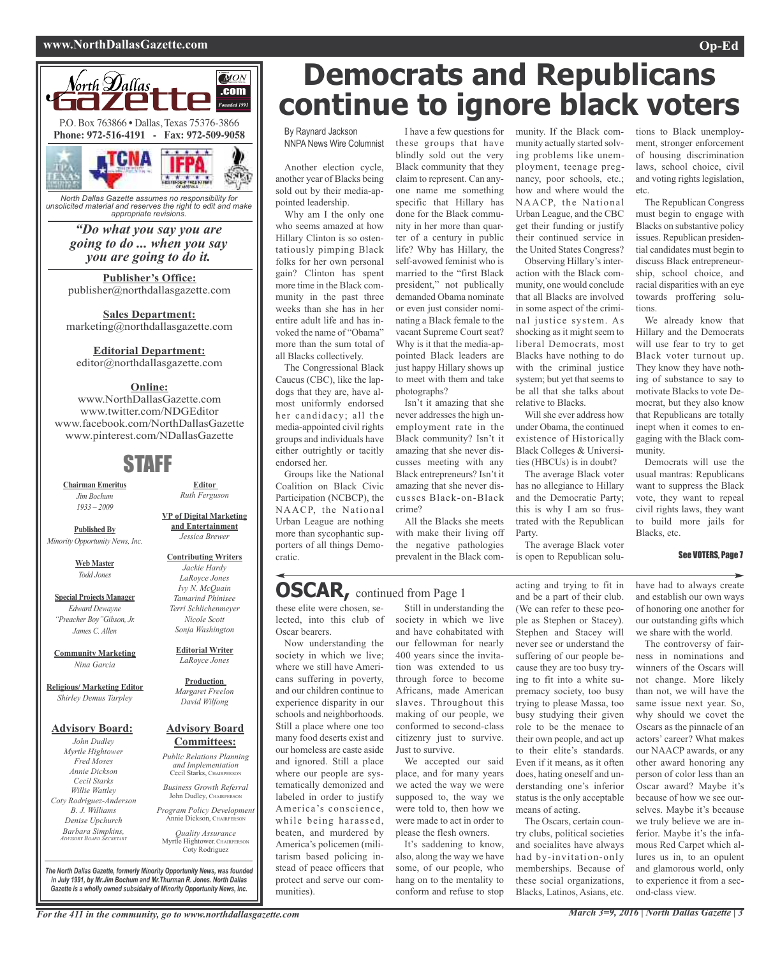### **www.NorthDallasGazette.com Op-Ed**



*North Dallas Gazette assumes no responsibility for unsolicited material and reserves the right to edit and make appropriate revisions.*

> *"Do what you say you are going to do ... when you say you are going to do it.*

**Publisher's Office:** publisher@northdallasgazette.com

**Sales Department:** marketing@northdallasgazette.com

### **Editorial Department:**

editor@northdallasgazette.com

### **Online:**

www.NorthDallasGazette.com www.twitter.com/NDGEditor www.facebook.com/NorthDallasGazette www.pinterest.com/NDallasGazette

### STAFF

**Chairman Emeritus** *Jim Bochum 1933 – 2009*

**Published By** *Minority Opportunity News, Inc.*

> **Web Master** *Todd Jones*

**Special Projects Manager** *Edward Dewayne "Preacher Boy"Gibson, Jr. James C. Allen*

**Community Marketing** *Nina Garcia*

**Religious/ Marketing Editor** *Shirley Demus Tarpley*

### **Advisory Board:**

*John Dudley Myrtle Hightower Fred Moses Annie Dickson Cecil Starks Willie Wattley Coty Rodriguez-Anderson B. J. Williams Denise Upchurch Barbara Simpkins, ADVISORY BOARD SECRETARY*

*Terri Schlichenmeyer Nicole Scott Sonja Washington* **Editorial Writer** *LaRoyce Jones*

**Editor** *Ruth Ferguson*

**VP of Digital Marketing and Entertainment** *Jessica Brewer*

**Contributing Writers** *Jackie Hardy LaRoyce Jones Ivy N. McQuain Tamarind Phinisee*

#### **Production** *Margaret Freelon David Wilfong*

## **Committees:**

Cecil Starks, CHAIRPERSON *Business Growth Referral*

John Dudley, CHAIRPERSON

Annie Dickson, CHAIRPEI

*Quality Assurance* Myrtle Hightower, CHAIRPERSON

**Democrats and Republicans continue to ignore black voters**

By Raynard Jackson NNPA News Wire Columnist

Another election cycle, another year of Blacks being sold out by their media-appointed leadership.

Why am I the only one who seems amazed at how Hillary Clinton is so ostentatiously pimping Black folks for her own personal gain? Clinton has spent more time in the Black community in the past three weeks than she has in her entire adult life and has invoked the name of "Obama" more than the sum total of all Blacks collectively.

The Congressional Black Caucus (CBC), like the lapdogs that they are, have almost uniformly endorsed her candidacy; all the media-appointed civil rights groups and individuals have either outrightly or tacitly endorsed her.

Groups like the National Coalition on Black Civic Participation (NCBCP), the NAACP, the National Urban League are nothing more than sycophantic supporters of all things Democratic.

these elite were chosen, selected, into this club of

**OSCAR,** continued from Page <sup>1</sup>

Now understanding the society in which we live; where we still have Ameri-

Oscar bearers.

I have a few questions for these groups that have blindly sold out the very Black community that they claim to represent. Can anyone name me something specific that Hillary has done for the Black community in her more than quarter of a century in public life? Why has Hillary, the self-avowed feminist who is married to the "first Black president," not publically demanded Obama nominate or even just consider nominating a Black female to the vacant Supreme Court seat? Why is it that the media-appointed Black leaders are just happy Hillary shows up to meet with them and take photographs?

Isn't it amazing that she never addresses the high unemployment rate in the Black community? Isn't it amazing that she never discusses meeting with any Black entrepreneurs? Isn't it amazing that she never discusses Black-on-Black crime?

All the Blacks she meets with make their living off the negative pathologies prevalent in the Black com-

### munity. If the Black community actually started solving problems like unemployment, teenage pregnancy, poor schools, etc.; how and where would the NAACP, the National Urban League, and the CBC get their funding or justify their continued service in the United States Congress? Observing Hillary's inter-

action with the Black community, one would conclude that all Blacks are involved in some aspect of the criminal justice system. As shocking as it might seem to liberal Democrats, most Blacks have nothing to do with the criminal justice system; but yet that seems to be all that she talks about relative to Blacks.

Will she ever address how under Obama, the continued existence of Historically Black Colleges & Universities (HBCUs) is in doubt?

The average Black voter has no allegiance to Hillary and the Democratic Party; this is why I am so frustrated with the Republican Party.

The average Black voter is open to Republican solu-

acting and trying to fit in

tions to Black unemployment, stronger enforcement of housing discrimination laws, school choice, civil and voting rights legislation, etc.

The Republican Congress must begin to engage with Blacks on substantive policy issues. Republican presidential candidates must begin to discuss Black entrepreneurship, school choice, and racial disparities with an eye towards proffering solutions.

We already know that Hillary and the Democrats will use fear to try to get Black voter turnout up. They know they have nothing of substance to say to motivate Blacks to vote Democrat, but they also know that Republicans are totally inept when it comes to engaging with the Black community.

Democrats will use the usual mantras: Republicans want to suppress the Black vote, they want to repeal civil rights laws, they want to build more jails for Blacks, etc.

### See VOTERS, Page 7

have had to always create and establish our own ways of honoring one another for our outstanding gifts which we share with the world.

The controversy of fairness in nominations and winners of the Oscars will not change. More likely than not, we will have the same issue next year. So, why should we covet the Oscars as the pinnacle of an actors' career? What makes our NAACP awards, or any other award honoring any person of color less than an Oscar award? Maybe it's because of how we see ourselves. Maybe it's because we truly believe we are inferior. Maybe it's the infamous Red Carpet which allures us in, to an opulent and glamorous world, only to experience it from a second-class view.

**Advisory Board** *Public Relations Planning and Implementation*

*Program Policy Development*

Coty Rodriguez

cans suffering in poverty, and our children continue to experience disparity in our schools and neighborhoods. Still a place where one too many food deserts exist and our homeless are caste aside and ignored. Still a place

where our people are systematically demonized and labeled in order to justify America's conscience, while being harassed, beaten, and murdered by America's policemen (militarism based policing instead of peace officers that protect and serve our communities).

Still in understanding the society in which we live and have cohabitated with our fellowman for nearly 400 years since the invitation was extended to us through force to become Africans, made American slaves. Throughout this making of our people, we conformed to second-class citizenry just to survive. Just to survive. We accepted our said

place, and for many years we acted the way we were supposed to, the way we were told to, then how we were made to act in order to please the flesh owners.

It's saddening to know, also, along the way we have some, of our people, who hang on to the mentality to conform and refuse to stop

and be a part of their club. (We can refer to these people as Stephen or Stacey). Stephen and Stacey will never see or understand the suffering of our people because they are too busy trying to fit into a white supremacy society, too busy trying to please Massa, too busy studying their given role to be the menace to their own people, and act up to their elite's standards. Even if it means, as it often does, hating oneself and understanding one's inferior status is the only acceptable means of acting. The Oscars, certain coun-

try clubs, political societies and socialites have always had by-invitation-only memberships. Because of these social organizations, Blacks, Latinos, Asians, etc.

*The North Dallas Gazette, formerly Minority Opportunity News, was founded in July 1991, by Mr.Jim Bochum and Mr.Thurman R. Jones. North Dallas Gazette is a wholly owned subsidairy of Minority Opportunity News, Inc.*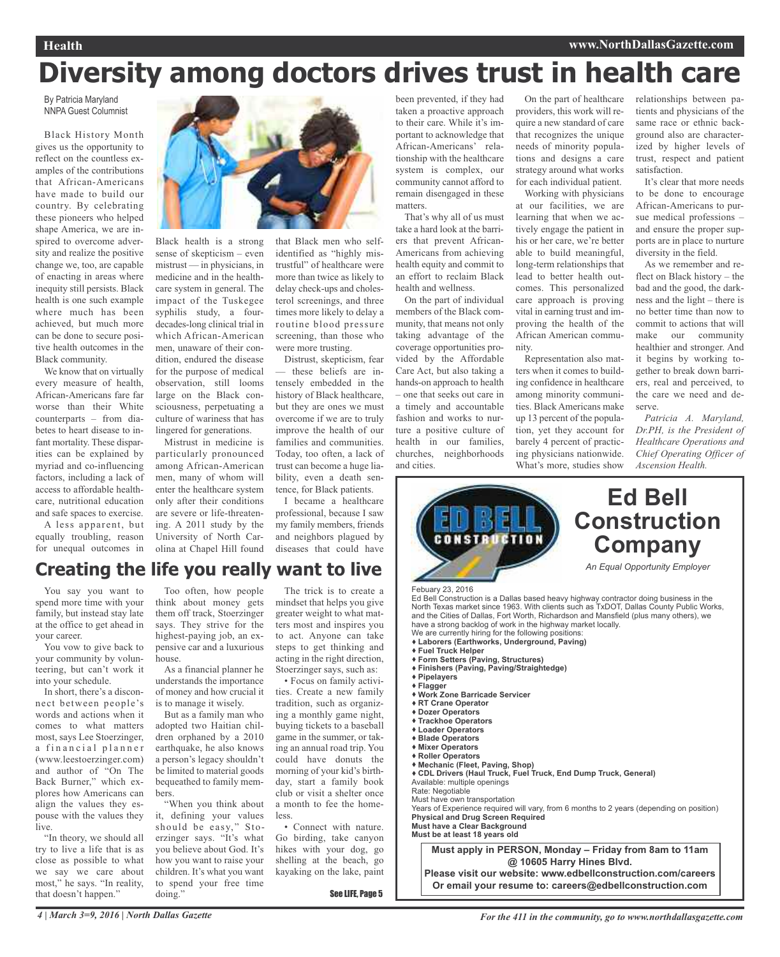# **Diversity among doctors drives trust in health care**

By Patricia Maryland NNPA Guest Columnist

Black History Month gives us the opportunity to reflect on the countless examples of the contributions that African-Americans have made to build our country. By celebrating these pioneers who helped shape America, we are inspired to overcome adversity and realize the positive change we, too, are capable of enacting in areas where inequity still persists. Black health is one such example where much has been achieved, but much more can be done to secure positive health outcomes in the Black community.

We know that on virtually every measure of health, African-Americans fare far worse than their White counterparts – from diabetes to heart disease to infant mortality. These disparities can be explained by myriad and co-influencing factors, including a lack of access to affordable healthcare, nutritional education and safe spaces to exercise.

A less apparent, but equally troubling, reason for unequal outcomes in



Black health is a strong sense of skepticism – even mistrust — in physicians, in medicine and in the healthcare system in general. The impact of the Tuskegee syphilis study, a fourdecades-long clinical trial in which African-American men, unaware of their condition, endured the disease for the purpose of medical observation, still looms large on the Black consciousness, perpetuating a culture of wariness that has lingered for generations.

Mistrust in medicine is particularly pronounced among African-American men, many of whom will enter the healthcare system only after their conditions are severe or life-threatening. A 2011 study by the University of North Carolina at Chapel Hill found

that Black men who selfidentified as "highly mistrustful" of healthcare were more than twice as likely to delay check-ups and cholesterol screenings, and three times more likely to delay a routine blood pressure screening, than those who were more trusting.

Distrust, skepticism, fear — these beliefs are intensely embedded in the history of Black healthcare, but they are ones we must overcome if we are to truly improve the health of our families and communities. Today, too often, a lack of trust can become a huge liability, even a death sentence, for Black patients.

I became a healthcare professional, because I saw my family members, friends and neighbors plagued by diseases that could have been prevented, if they had taken a proactive approach to their care. While it's important to acknowledge that African-Americans' relationship with the healthcare system is complex, our community cannot afford to remain disengaged in these matters.

That's why all of us must take a hard look at the barriers that prevent African-Americans from achieving health equity and commit to an effort to reclaim Black health and wellness.

On the part of individual members of the Black community, that means not only taking advantage of the coverage opportunities provided by the Affordable Care Act, but also taking a hands-on approach to health – one that seeks out care in a timely and accountable fashion and works to nurture a positive culture of health in our families, churches, neighborhoods and cities.

On the part of healthcare providers, this work will require a new standard of care that recognizes the unique needs of minority populations and designs a care strategy around what works for each individual patient.

Working with physicians at our facilities, we are learning that when we actively engage the patient in his or her care, we're better able to build meaningful, long-term relationships that lead to better health outcomes. This personalized care approach is proving vital in earning trust and improving the health of the African American community.

Representation also matters when it comes to building confidence in healthcare among minority communities. Black Americans make up 13 percent of the population, yet they account for barely 4 percent of practicing physicians nationwide. What's more, studies show

relationships between patients and physicians of the same race or ethnic background also are characterized by higher levels of trust, respect and patient satisfaction.

It's clear that more needs to be done to encourage African-Americans to pursue medical professions – and ensure the proper supports are in place to nurture diversity in the field.

As we remember and reflect on Black history – the bad and the good, the darkness and the light – there is no better time than now to commit to actions that will make our community healthier and stronger. And it begins by working together to break down barriers, real and perceived, to the care we need and deserve.

*Patricia A. Maryland, Dr.PH, is the President of Healthcare Operations and Chief Operating Officer of Ascension Health.*



## **Creating the life you really want to live**

You say you want to spend more time with your family, but instead stay late at the office to get ahead in your career.

You vow to give back to your community by volunteering, but can't work it into your schedule.

In short, there's a disconnect between people's words and actions when it comes to what matters most, says Lee Stoerzinger, a financial planner (www.leestoerzinger.com) and author of "On The Back Burner," which explores how Americans can align the values they espouse with the values they live.

"In theory, we should all try to live a life that is as close as possible to what we say we care about most," he says. "In reality, that doesn't happen."

Too often, how people think about money gets them off track, Stoerzinger says. They strive for the highest-paying job, an expensive car and a luxurious house.

As a financial planner he understands the importance of money and how crucial it is to manage it wisely.

But as a family man who adopted two Haitian children orphaned by a 2010 earthquake, he also knows a person's legacy shouldn't be limited to material goods bequeathed to family members.

"When you think about it, defining your values should be easy," Stoerzinger says. "It's what you believe about God. It's how you want to raise your children. It's what you want to spend your free time doing."

The trick is to create a mindset that helps you give greater weight to what matters most and inspires you to act. Anyone can take steps to get thinking and acting in the right direction, Stoerzinger says, such as:

• Focus on family activities. Create a new family tradition, such as organizing a monthly game night, buying tickets to a baseball game in the summer, or taking an annual road trip. You could have donuts the morning of your kid's birthday, start a family book club or visit a shelter once a month to fee the homeless.

• Connect with nature. Go birding, take canyon hikes with your dog, go shelling at the beach, go kayaking on the lake, paint

See LIFE, Page 5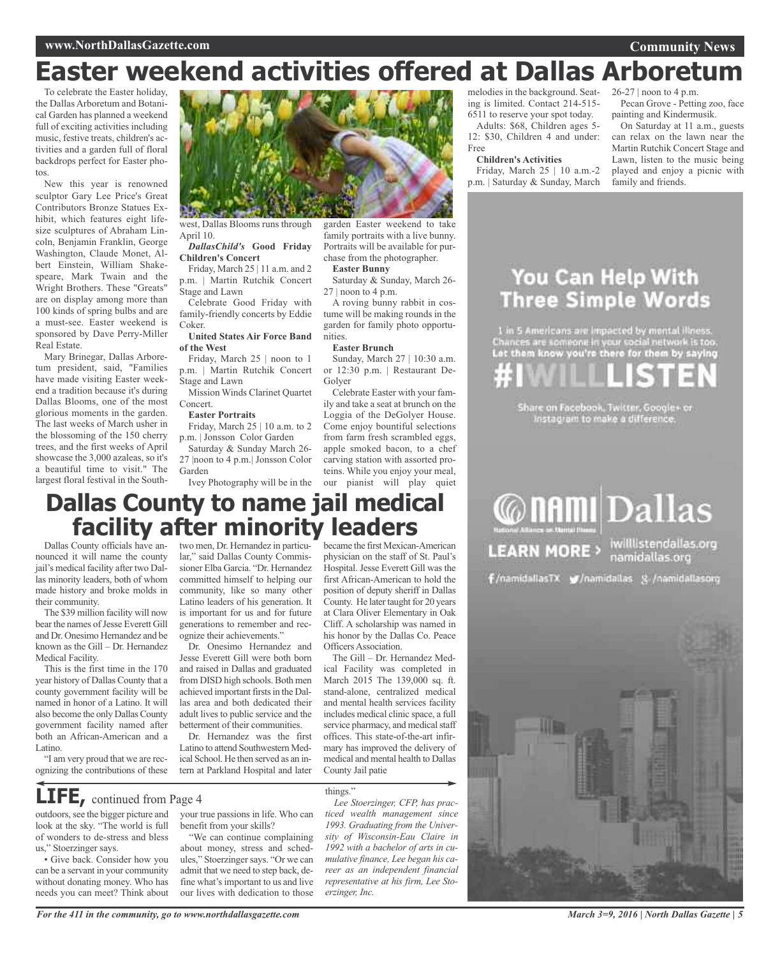# **Easter weekend activities offered at Dallas Arboretum**

To celebrate the Easter holiday, the Dallas Arboretum and Botanical Garden has planned a weekend full of exciting activities including music, festive treats, children's activities and a garden full of floral backdrops perfect for Easter photos.

New this year is renowned sculptor Gary Lee Price's Great Contributors Bronze Statues Exhibit, which features eight lifesize sculptures of Abraham Lincoln, Benjamin Franklin, George Washington, Claude Monet, Albert Einstein, William Shakespeare, Mark Twain and the Wright Brothers. These "Greats" are on display among more than 100 kinds of spring bulbs and are a must-see. Easter weekend is sponsored by Dave Perry-Miller Real Estate.

Mary Brinegar, Dallas Arboretum president, said, "Families have made visiting Easter weekend a tradition because it's during Dallas Blooms, one of the most glorious moments in the garden. The last weeks of March usher in the blossoming of the 150 cherry trees, and the first weeks of April showcase the 3,000 azaleas, so it's a beautiful time to visit." The largest floral festival in the South-

west, Dallas Blooms runs through April 10.

*DallasChild's* **Good Friday Children's Concert**

Friday, March 25 | 11 a.m. and 2 p.m. | Martin Rutchik Concert Stage and Lawn

Celebrate Good Friday with family-friendly concerts by Eddie Coker.

**United States Air Force Band of the West**

Friday, March 25 | noon to 1 p.m. | Martin Rutchik Concert Stage and Lawn

Mission Winds Clarinet Quartet Concert.

**Easter Portraits**

Friday, March 25 | 10 a.m. to 2 p.m. | Jonsson Color Garden

Saturday & Sunday March 26- 27 |noon to 4 p.m.| Jonsson Color Garden

Ivey Photography will be in the

garden Easter weekend to take family portraits with a live bunny. Portraits will be available for purchase from the photographer. **Easter Bunny**

Saturday & Sunday, March 26-  $27 \mid$  noon to 4 p.m.

A roving bunny rabbit in costume will be making rounds in the garden for family photo opportunities.

#### **Easter Brunch**

Sunday, March 27 | 10:30 a.m. or 12:30 p.m. | Restaurant De-Golyer

Celebrate Easter with your family and take a seat at brunch on the Loggia of the DeGolyer House. Come enjoy bountiful selections from farm fresh scrambled eggs, apple smoked bacon, to a chef carving station with assorted proteins. While you enjoy your meal, our pianist will play quiet

## **Dallas County to name jail medical facility after minority leaders**

Dallas County officials have announced it will name the county jail's medical facility after two Dallas minority leaders, both of whom made history and broke molds in their community.

The \$39 million facility will now bear the names of Jesse Everett Gill and Dr. Onesimo Hernandez and be known as the Gill – Dr. Hernandez Medical Facility.

This is the first time in the 170 year history of Dallas County that a county government facility will be named in honor of a Latino. It will also become the only Dallas County government facility named after both an African-American and a Latino.

"I am very proud that we are recognizing the contributions of these

outdoors, see the bigger picture and look at the sky. "The world is full of wonders to de-stress and bless

**LIFE,** continued from Page <sup>4</sup>

• Give back. Consider how you can be a servant in your community without donating money. Who has needs you can meet? Think about

us," Stoerzinger says.

two men, Dr. Hernandez in particular," said Dallas County Commissioner Elba Garcia. "Dr. Hernandez committed himself to helping our community, like so many other Latino leaders of his generation. It is important for us and for future generations to remember and recognize their achievements."

Dr. Onesimo Hernandez and Jesse Everett Gill were both born and raised in Dallas and graduated from DISD high schools. Both men achieved important firsts in the Dallas area and both dedicated their adult lives to public service and the betterment of their communities.

Dr. Hernandez was the first Latino to attend Southwestern Medical School. He then served as an intern at Parkland Hospital and later

your true passions in life. Who can

"We can continue complaining about money, stress and schedules," Stoerzinger says. "Or we can admit that we need to step back, define what's important to us and live our lives with dedication to those

benefit from your skills?

became the first Mexican-American physician on the staff of St. Paul's Hospital. Jesse Everett Gill was the first African-American to hold the position of deputy sheriff in Dallas County. He later taught for 20 years at Clara Oliver Elementary in Oak Cliff. A scholarship was named in his honor by the Dallas Co. Peace Officers Association.

The Gill – Dr. Hernandez Medical Facility was completed in March 2015 The 139,000 sq. ft. stand-alone, centralized medical and mental health services facility includes medical clinic space, a full service pharmacy, and medical staff offices. This state-of-the-art infirmary has improved the delivery of medical and mental health to Dallas County Jail patie

things."

*Lee Stoerzinger, CFP, has practiced wealth management since 1993. Graduating from the University of Wisconsin-Eau Claire in 1992 with a bachelor of arts in cumulative finance, Lee began his career as an independent financial representative at his firm, Lee Stoerzinger, Inc.*

melodies in the background. Seating is limited. Contact 214-515- 6511 to reserve your spot today.

Adults: \$68, Children ages 5- 12: \$30, Children 4 and under: Free

### **Children's Activities**

Friday, March 25 | 10 a.m.-2 p.m. | Saturday & Sunday, March 26-27 | noon to 4 p.m.

Pecan Grove - Petting zoo, face painting and Kindermusik.

On Saturday at 11 a.m., guests can relax on the lawn near the Martin Rutchik Concert Stage and Lawn, listen to the music being played and enjoy a picnic with family and friends.

## You Can Help With **Three Simple Words**

1 in 5 Americans are impacted by mental illness.<br>Chances are someone in your social network is too.<br>Let them know you're there for them by saying

are on Facebook, Twitter, Google+ or<br>Instagram to make a difference.



f/namidallasTX g/namidallas g/namidallasorg





*For the 411 in the community, go to www.northdallasgazette.com*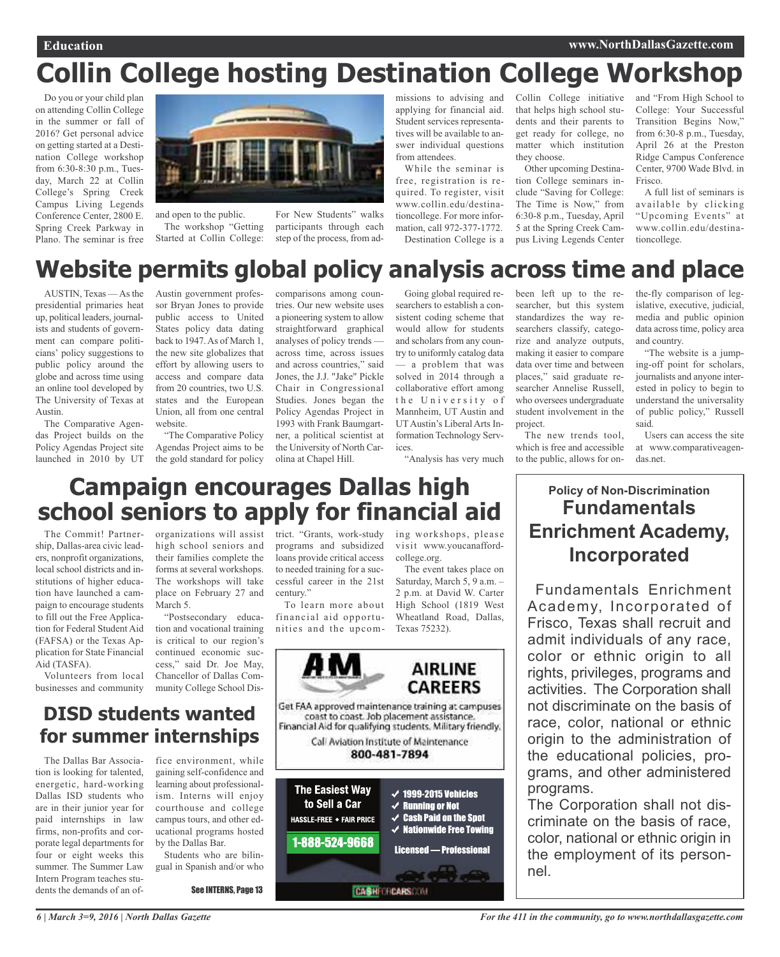# **Collin College hosting Destination College Workshop**

Do you or your child plan on attending Collin College in the summer or fall of 2016? Get personal advice on getting started at a Destination College workshop from 6:30-8:30 p.m., Tuesday, March 22 at Collin College's Spring Creek Campus Living Legends Conference Center, 2800 E. Spring Creek Parkway in Plano. The seminar is free



and open to the public. The workshop "Getting Started at Collin College:

For New Students" walks participants through each step of the process, from admissions to advising and applying for financial aid. Student services representatives will be available to answer individual questions from attendees.

While the seminar is free, registration is required. To register, visit www.collin.edu/destinationcollege. For more information, call 972-377-1772. Destination College is a

Collin College initiative that helps high school students and their parents to get ready for college, no matter which institution they choose.

Other upcoming Destination College seminars include "Saving for College: The Time is Now," from 6:30-8 p.m., Tuesday, April 5 at the Spring Creek Campus Living Legends Center

and "From High School to College: Your Successful Transition Begins Now," from 6:30-8 p.m., Tuesday, April 26 at the Preston Ridge Campus Conference Center, 9700 Wade Blvd. in Frisco.

A full list of seminars is available by clicking "Upcoming Events" at www.collin.edu/destinationcollege.

## **Website permits global policy analysis across time and place**

AUSTIN, Texas —Asthe presidential primaries heat up, political leaders, journalists and students of government can compare politicians' policy suggestions to public policy around the globe and across time using an online tool developed by The University of Texas at Austin.

The Comparative Agendas Project builds on the Policy Agendas Project site launched in 2010 by UT

Austin government professor Bryan Jones to provide public access to United States policy data dating back to 1947.As of March 1, the new site globalizes that effort by allowing users to access and compare data from 20 countries, two U.S. states and the European Union, all from one central website.

"The Comparative Policy Agendas Project aims to be the gold standard for policy

comparisons among countries. Our new website uses a pioneering system to allow straightforward graphical analyses of policy trends across time, across issues and across countries," said Jones, the J.J. "Jake" Pickle Chair in Congressional Studies. Jones began the Policy Agendas Project in 1993 with Frank Baumgartner, a political scientist at the University of North Carolina at Chapel Hill.

Going global required researchers to establish a consistent coding scheme that would allow for students and scholars from any country to uniformly catalog data — a problem that was solved in 2014 through a collaborative effort among the University of Mannheim, UT Austin and UTAustin's Liberal Arts Information Technology Services.

"Analysis has very much

been left up to the researcher, but this system standardizes the way researchers classify, categorize and analyze outputs, making it easier to compare data over time and between places," said graduate researcher Annelise Russell, who oversees undergraduate student involvement in the project.

The new trends tool, which is free and accessible to the public, allows for on-

the-fly comparison of legislative, executive, judicial, media and public opinion data across time, policy area and country.

"The website is a jumping-off point for scholars, journalists and anyone interested in policy to begin to understand the universality of public policy," Russell said.

Users can access the site at www.comparativeagendas.net.

## **Campaign encourages Dallas high school seniors to apply for financial aid**

The Commit! Partnership, Dallas-area civic leaders, nonprofit organizations, local school districts and institutions of higher education have launched a campaign to encourage students to fill out the Free Application for Federal Student Aid (FAFSA) or the Texas Application for State Financial Aid (TASFA).

Volunteers from local businesses and community

organizations will assist trict. "Grants, work-study high school seniors and their families complete the forms at several workshops. The workshops will take place on February 27 and March 5.

"Postsecondary education and vocational training is critical to our region's continued economic success," said Dr. Joe May, Chancellor of Dallas Community College School Dis-

## **DISD students wanted for summer internships**

The Dallas Bar Association is looking for talented, energetic, hard-working Dallas ISD students who are in their junior year for paid internships in law firms, non-profits and corporate legal departments for four or eight weeks this summer. The Summer Law Intern Program teaches students the demands of an of-

fice environment, while gaining self-confidence and learning about professionalism. Interns will enjoy courthouse and college campus tours, and other educational programs hosted by the Dallas Bar.

Students who are bilingual in Spanish and/or who

See INTERNS, Page 13

programs and subsidized loans provide critical access to needed training for a successful career in the 21st century."

To learn more about financial aid opportunities and the upcom-

Saturday, March 5, 9 a.m. – 2 p.m. at David W. Carter High School (1819 West Wheatland Road, Dallas, Texas 75232).

college.org.



ing workshops, please visit www.youcanafford-The event takes place on **Fundamentals Enrichment Academy, Incorporated**

> Fundamentals Enrichment Academy, Incorporated of Frisco, Texas shall recruit and admit individuals of any race, color or ethnic origin to all rights, privileges, programs and activities. The Corporation shall not discriminate on the basis of race, color, national or ethnic origin to the administration of the educational policies, programs, and other administered programs.

**Policy of Non-Discrimination**

The Corporation shall not discriminate on the basis of race, color, national or ethnic origin in the employment of its personnel.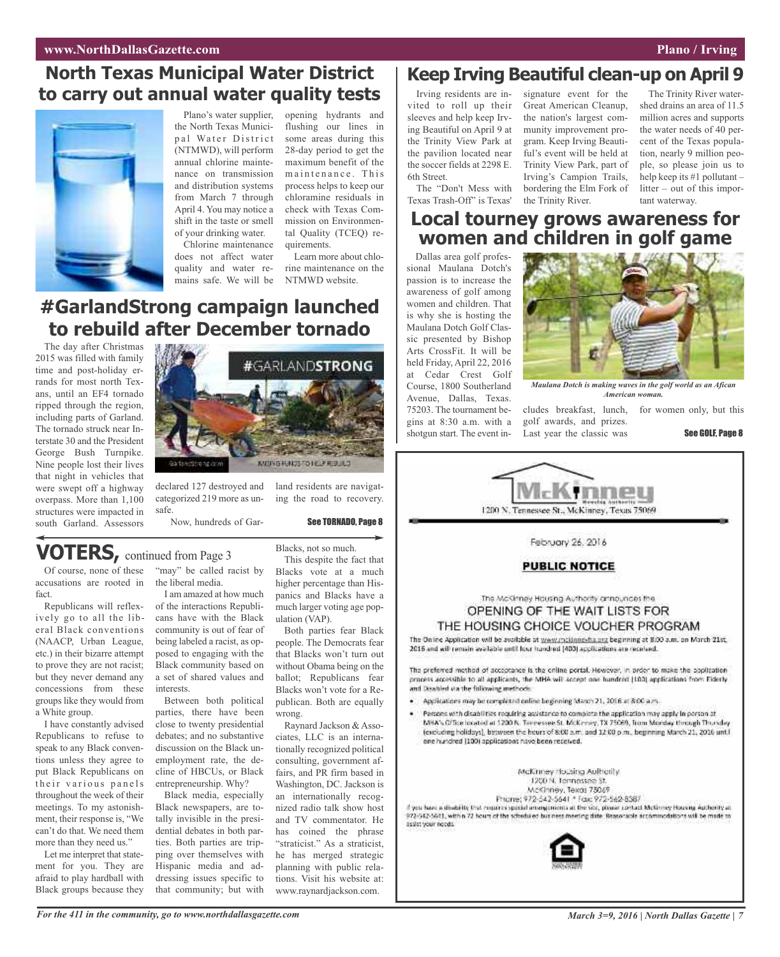## **North Texas Municipal Water District to carry out annual water quality tests**



Plano's water supplier, the North Texas Municipal Water District (NTMWD), will perform annual chlorine maintenance on transmission and distribution systems from March 7 through April 4. You may notice a shift in the taste or smell of your drinking water.

Chlorine maintenance does not affect water quality and water remains safe. We will be

opening hydrants and flushing our lines in some areas during this 28-day period to get the maximum benefit of the maintenance. This process helps to keep our chloramine residuals in check with Texas Commission on Environmental Quality (TCEQ) requirements.

Learn more about chlorine maintenance on the NTMWD website.

## **#GarlandStrong campaign launched to rebuild after December tornado**

The day after Christmas 2015 was filled with family time and post-holiday errands for most north Texans, until an EF4 tornado ripped through the region, including parts of Garland. The tornado struck near Interstate 30 and the President George Bush Turnpike. Nine people lost their lives that night in vehicles that were swept off a highway overpass. More than 1,100 structures were impacted in south Garland. Assessors



declared 127 destroyed and land residents are navigatcategorized 219 more as unsafe.

Now, hundreds of Gar-

ing the road to recovery.

See TORNADO, Page 8

## **VOTERS,** continued from Page <sup>3</sup>

Of course, none of these accusations are rooted in fact.

Republicans will reflexively go to all the liberal Black conventions (NAACP, Urban League, etc.) in their bizarre attempt to prove they are not racist; but they never demand any concessions from these groups like they would from a White group.

I have constantly advised Republicans to refuse to speak to any Black conventions unless they agree to put Black Republicans on their various panels throughout the week of their meetings. To my astonishment, their response is, "We can't do that. We need them more than they need us."

Let me interpret that statement for you. They are afraid to play hardball with Black groups because they

"may" be called racist by the liberal media.

I am amazed at how much of the interactions Republicans have with the Black community is out of fear of being labeled a racist, as opposed to engaging with the Black community based on a set of shared values and interests.

Between both political parties, there have been close to twenty presidential debates; and no substantive discussion on the Black unemployment rate, the decline of HBCUs, or Black entrepreneurship. Why?

Black media, especially Black newspapers, are totally invisible in the presidential debates in both parties. Both parties are tripping over themselves with Hispanic media and addressing issues specific to that community; but with

Blacks, not so much. This despite the fact that Blacks vote at a much higher percentage than Hispanics and Blacks have a much larger voting age population (VAP).

Both parties fear Black people. The Democrats fear that Blacks won't turn out without Obama being on the ballot; Republicans fear Blacks won't vote for a Republican. Both are equally wrong.

Raynard Jackson & Associates, LLC is an internationally recognized political consulting, government affairs, and PR firm based in Washington, DC. Jackson is an internationally recognized radio talk show host and TV commentator. He has coined the phrase "straticist." As a straticist, he has merged strategic planning with public relations. Visit his website at: www.raynardjackson.com.

### **Keep Irving Beautiful clean-up on April 9**

Irving residents are invited to roll up their sleeves and help keep Irving Beautiful on April 9 at the Trinity View Park at the pavilion located near the soccer fields at 2298 E. 6th Street.

The "Don't Mess with Texas Trash-Off" is Texas'

signature event for the Great American Cleanup, the nation's largest community improvement program. Keep Irving Beautiful's event will be held at Trinity View Park, part of Irving's Campion Trails, bordering the Elm Fork of the Trinity River.

The Trinity River watershed drains an area of 11.5 million acres and supports the water needs of 40 percent of the Texas population, nearly 9 million people, so please join us to help keep its #1 pollutant – litter – out of this important waterway.

### **Local tourney grows awareness for women and children in golf game**

Dallas area golf professional Maulana Dotch's passion is to increase the awareness of golf among women and children. That is why she is hosting the Maulana Dotch Golf Classic presented by Bishop Arts CrossFit. It will be held Friday, April 22, 2016 at Cedar Crest Golf Course, 1800 Southerland Avenue, Dallas, Texas. 75203. The tournament begins at 8:30 a.m. with a shotgun start. The event in-



*Maulana Dotch is making waves in the golf world as an Afican American woman.*

cludes breakfast, lunch, for women only, but this golf awards, and prizes. Last year the classic was

See GOLF, Page 8



February 26, 2016

### **PUBLIC NOTICE**

The McKinney Housing Authority announces the OPENING OF THE WAIT LISTS FOR THE HOUSING CHOICE VOUCHER PROGRAM

The Online Application will be available at www.mcidnnexha.org beginning at 8:00 a.m. on March 21st. 2015 and will remain available until four hundred (400) applications are received.

The preferred method of acceptance is the critine portal. However, in order to make the application process accessible to all applicants, the MHA wii accept one hundred (100) applications from Eiderly and Disabled via the following methods:

- Applications may be completed online beginning March 21, 2016 at 8:00 a.m.
- Persons with disabilities requiring assistance to complete the application may apply in person at MHA's Giffice incated at 1200 N. Terressee St. McKrmey, TX 75069, from Monday through Thursday (excluding holidays), between the hours of 8:00 a.m. and 12:00 p.m., beginning March 21, 2016 until one hundred (100) applications have been received.

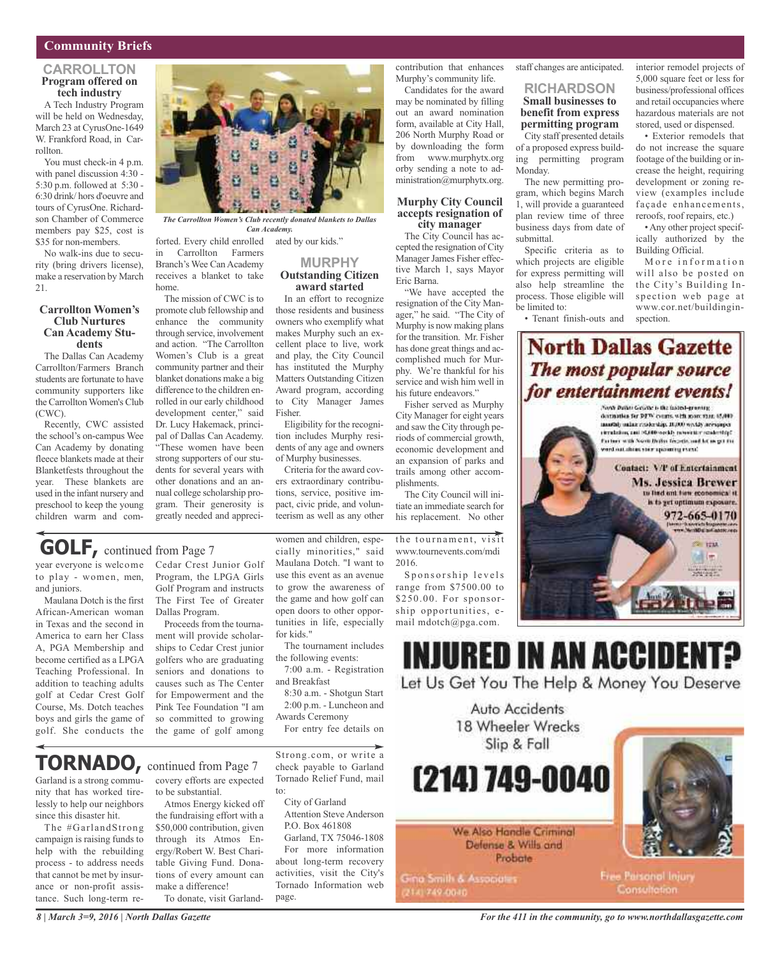### **Community Briefs**

### **CARROLLTON Program offered on tech industry**

A Tech Industry Program will be held on Wednesday, March 23 at CyrusOne-1649 W. Frankford Road, in Carrollton.

You must check-in 4 p.m. with panel discussion 4:30 - 5:30 p.m. followed at 5:30 - 6:30 drink/ hors d'oeuvre and tours of CyrusOne. Richardson Chamber of Commerce members pay \$25, cost is \$35 for non-members.

No walk-ins due to security (bring drivers license), make a reservation by March 21.

### **Carrollton Women's Club Nurtures Can Academy Stu- dents**

The Dallas Can Academy Carrollton/Farmers Branch students are fortunate to have community supporters like the Carrollton Women's Club (CWC).

Recently, CWC assisted the school's on-campus Wee Can Academy by donating fleece blankets made at their Blanketfests throughout the year. These blankets are used in the infant nursery and preschool to keep the young children warm and com-

*The Carrollton Women's Club recently donated blankets to Dallas Can Academy.*

forted. Every child enrolled ated by our kids." in Carrollton Farmers Branch's Wee Can Academy receives a blanket to take home.

The mission of CWC is to promote club fellowship and enhance the community through service, involvement and action. "The Carrollton Women's Club is a great community partner and their blanket donations make a big difference to the children enrolled in our early childhood development center," said Dr. Lucy Hakemack, principal of Dallas Can Academy. "These women have been strong supporters of our students for several years with other donations and an annual college scholarship program. Their generosity is greatly needed and appreci-

# **MURPHY**

### **Outstanding Citizen award started** In an effort to recognize

those residents and business owners who exemplify what makes Murphy such an excellent place to live, work and play, the City Council has instituted the Murphy Matters Outstanding Citizen Award program, according to City Manager James Fisher.

Eligibility for the recognition includes Murphy residents of any age and owners of Murphy businesses.

Criteria for the award covers extraordinary contributions, service, positive impact, civic pride, and volunteerism as well as any other

the game and how golf can open doors to other opportunities in life, especially

The tournament includes

7:00 a.m. - Registration

8:30 a.m. - Shotgun Start 2:00 p.m. - Luncheon and

For entry fee details on

the following events:

Awards Ceremony

for kids."

and Breakfast

women and children, especially minorities," said Maulana Dotch. "I want to use this event as an avenue to grow the awareness of the tournament, visit www.tournevents.com/mdi 2016. Sponsorship levels

plishments.

range from \$7500.00 to \$250.00. For sponsorship opportunities, email mdotch@pga.com.

contribution that enhances Murphy's community life. Candidates for the award may be nominated by filling out an award nomination form, available at City Hall, 206 North Murphy Road or by downloading the form from www.murphytx.org orby sending a note to administration@murphytx.org.

**Murphy City Council accepts resignation of city manager** The City Council has accepted the resignation of City Manager James Fisher effective March 1, says Mayor

"We have accepted the resignation of the City Manager," he said. "The City of Murphy is now making plans for the transition. Mr. Fisher has done great things and accomplished much for Murphy. We're thankful for his service and wish him well in his future endeavors."

Fisher served as Murphy City Manager for eight years and saw the City through periods of commercial growth, economic development and an expansion of parks and trails among other accom-

The City Council will initiate an immediate search for his replacement. No other

Eric Barna.

staff changes are anticipated.

### **RICHARDSON Small businesses to benefit from express permitting program**

City staff presented details of a proposed express building permitting program Monday.

The new permitting program, which begins March 1, will provide a guaranteed plan review time of three business days from date of submittal.

Specific criteria as to which projects are eligible for express permitting will also help streamline the process. Those eligible will be limited to:

• Tenant finish-outs and

interior remodel projects of 5,000 square feet or less for business/professional offices and retail occupancies where hazardous materials are not stored, used or dispensed.

• Exterior remodels that do not increase the square footage of the building or increase the height, requiring development or zoning review (examples include façade enhancements, reroofs, roof repairs, etc.)

• Any other project specifically authorized by the Building Official.

More information will also be posted on the City's Building Inspection web page at www.cor.net/buildinginspection.

### **North Dallas Gazette** The most popular source for entertainment events!

Nova Bullai Geline's the fastest-growing detraities for DPW courts, with more than 45,000. mustaly unline readership. 10,000 weekly arrespaper structuring cast (CODO work), revenuer residenting? Partner with North Britist Technik, and let us get the lated uniform prints and Link of



## **GOLF,** continued from Page <sup>7</sup>

to play - women, men, and juniors.

Maulana Dotch is the first African-American woman in Texas and the second in America to earn her Class A, PGA Membership and become certified as a LPGA Teaching Professional. In addition to teaching adults golf at Cedar Crest Golf Course, Ms. Dotch teaches boys and girls the game of golf. She conducts the

# year everyone is welcome Cedar Crest Junior Golf

Program, the LPGA Girls Golf Program and instructs The First Tee of Greater Dallas Program.

Proceeds from the tournament will provide scholarships to Cedar Crest junior golfers who are graduating seniors and donations to causes such as The Center for Empowerment and the Pink Tee Foundation "I am so committed to growing the game of golf among

## **TORNADO,** continued from Page <sup>7</sup>

Garland is a strong community that has worked tirelessly to help our neighbors since this disaster hit.

The #GarlandStrong campaign is raising funds to help with the rebuilding process - to address needs that cannot be met by insurance or non-profit assistance. Such long-term recovery efforts are expected

to be substantial. Atmos Energy kicked off the fundraising effort with a \$50,000 contribution, given through its Atmos Energy/Robert W. Best Charitable Giving Fund. Donations of every amount can make a difference! To donate, visit GarlandStrong.com, or write a check payable to Garland Tornado Relief Fund, mail to:

City of Garland Attention Steve Anderson

P.O. Box 461808 Garland, TX 75046-1808 For more information about long-term recovery activities, visit the City's Tornado Information web page.



(214) 749-0040

Slip & Fall

We Also Handle Criminal Defense & Wills and Probate

Gina Smith & Associates 2141749-0040



**Free Parsonol Injury** Consultation: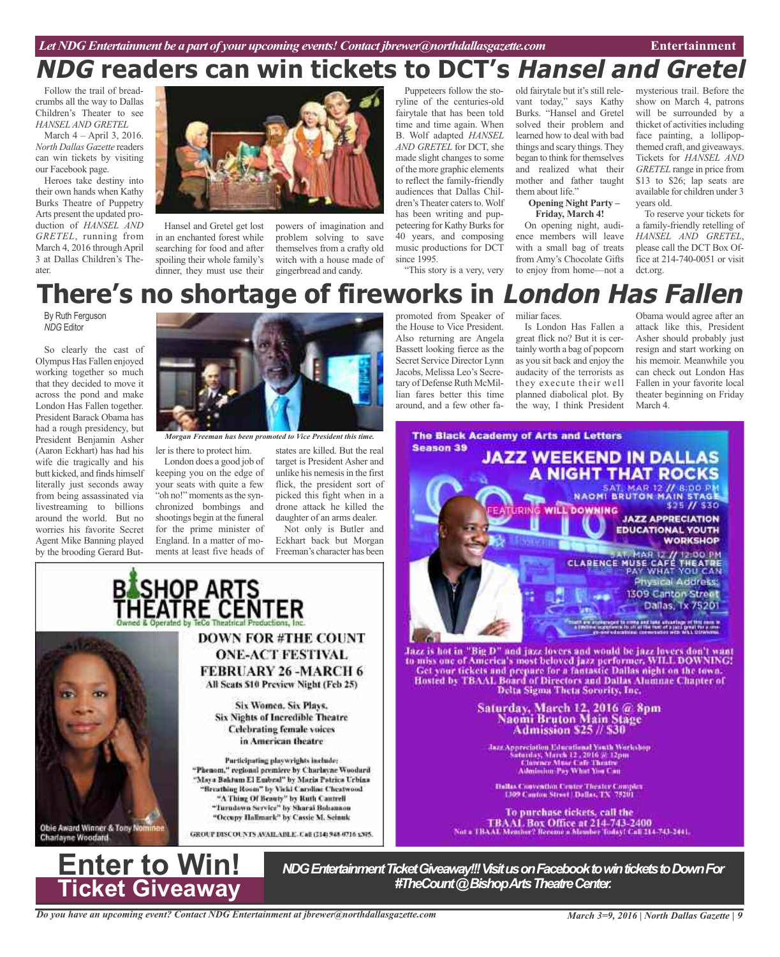# **NDG readers can win tickets to DCT's Hansel and Gretel**

Follow the trail of breadcrumbs all the way to Dallas Children's Theater to see *HANSEL AND GRETEL*

March 4 – April 3, 2016. *North Dallas Gazette* readers can win tickets by visiting our Facebook page.

Heroes take destiny into their own hands when Kathy Burks Theatre of Puppetry Arts present the updated production of *HANSEL AND GRETEL*, running from March 4, 2016 through April 3 at Dallas Children's Theater.



Hansel and Gretel get lost in an enchanted forest while searching for food and after spoiling their whole family's dinner, they must use their

powers of imagination and problem solving to save themselves from a crafty old witch with a house made of gingerbread and candy.

Puppeteers follow the storyline of the centuries-old fairytale that has been told time and time again. When B. Wolf adapted *HANSEL AND GRETEL* for DCT, she made slight changes to some of the more graphic elements to reflect the family-friendly audiences that Dallas Children's Theater caters to. Wolf has been writing and puppeteering for Kathy Burks for 40 years, and composing music productions for DCT since 1995.

"This story is a very, very

old fairytale but it's still relevant today," says Kathy Burks. "Hansel and Gretel solved their problem and learned how to deal with bad things and scary things. They began to think for themselves and realized what their mother and father taught them about life." **Opening Night Party –**

**Friday, March 4!**

On opening night, audience members will leave with a small bag of treats from Amy's Chocolate Gifts to enjoy from home—not a mysterious trail. Before the show on March 4, patrons will be surrounded by a thicket of activities including face painting, a lollipopthemed craft, and giveaways. Tickets for *HANSEL AND GRETEL* range in price from \$13 to \$26; lap seats are available for children under 3 years old.

To reserve your tickets for a family-friendly retelling of *HANSEL AND GRETEL*, please call the DCT Box Office at 214-740-0051 or visit dct.org.

### promoted from Speaker of **There's no shortage of fireworks in London Has Fallen**

By Ruth Ferguson *NDG* Editor

So clearly the cast of Olympus Has Fallen enjoyed working together so much that they decided to move it across the pond and make London Has Fallen together. President Barack Obama has had a rough presidency, but President Benjamin Asher (Aaron Eckhart) has had his wife die tragically and his butt kicked, and finds himself literally just seconds away from being assassinated via livestreaming to billions around the world. But no worries his favorite Secret Agent Mike Banning played by the brooding Gerard But-



*Morgan Freeman has been promoted to Vice President this time.*

ler is there to protect him. London does a good job of keeping you on the edge of your seats with quite a few "oh no!" moments as the synchronized bombings and shootings begin at the funeral for the prime minister of England. In a matter of moments at least five heads of

SHOP ARTS<br>IEATRE CENTER

states are killed. But the real target is President Asher and unlike his nemesis in the first flick, the president sort of picked this fight when in a drone attack he killed the daughter of an arms dealer.

Not only is Butler and Eckhart back but Morgan Freeman's character has been

the House to Vice President. Also returning are Angela Bassett looking fierce as the Secret Service Director Lynn Jacobs, Melissa Leo's Secretary of Defense Ruth McMillian fares better this time around, and a few other familiar faces.

Is London Has Fallen a great flick no? But it is certainly worth a bag of popcorn as you sit back and enjoy the audacity of the terrorists as they execute their well planned diabolical plot. By the way, I think President

Obama would agree after an attack like this, President Asher should probably just resign and start working on his memoir. Meanwhile you can check out London Has Fallen in your favorite local theater beginning on Friday March 4.



"Occupy Hallmark" by Cassie M. Seinuk GROUP DISCOUNTS AVAILABLE, CAR (\$14) 948-0716 x305.

**DOWN FOR #THE COUNT** 

**ONE-ACT FESTIVAL FEBRUARY 26 -MARCH 6** All Scats \$10 Preview Night (Feb 25)

Six Women, Six Plays,

Six Nights of Incredible Theatre **Celebrating female voices** 

in American theatre

Participating playwrights include: "Phenom," regional premiere by Charlayne Woodard

"Maya Baktum El Embral" by Maria Patrica Urbina

"Breathing Room" by Vicki Caroline Cheatwood "A Thing Of Beauty" by Ruth Cantrell "Turndown Service" by Sharai Bohannou

*NDG Entertainment Ticket Giveaway!!! Visit us on Facebook to win tickets to Down For*<br>#TheCount @ Bishop Arts Theatre Center.



Obie Award Winner & Tony Nom

**Charlayne Woodard** 

*Do you have an upcoming event? Contact NDG Entertainment at jbrewer@northdallasgazette.com*

*March 3=9, 2016 | North Dallas Gazette | 9*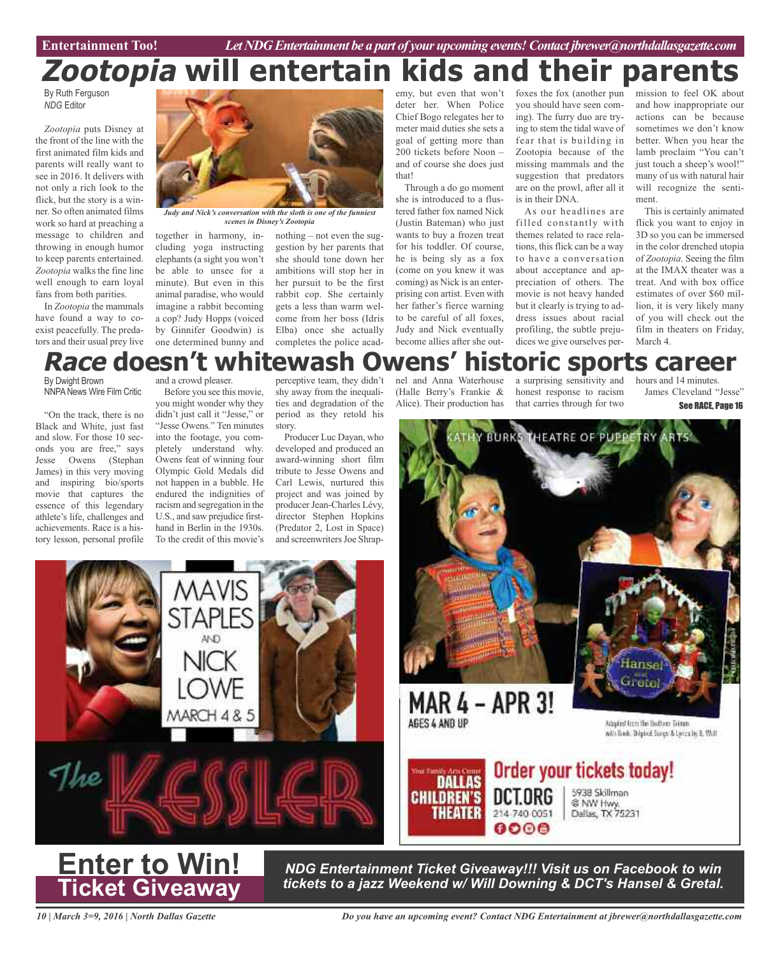Entertainment Too! *Let NDG Entertainment be a part of your upcoming events! Contact jbrewer@northdallasgazette.com* 

# **Zootopia will entertain kids and their parents**

By Ruth Ferguson *NDG* Editor

*Zootopia* puts Disney at the front of the line with the first animated film kids and parents will really want to see in 2016. It delivers with not only a rich look to the flick, but the story is a winner. So often animated films work so hard at preaching a message to children and throwing in enough humor to keep parents entertained. *Zootopia* walks the fine line well enough to earn loyal fans from both parities.

In *Zootopia* the mammals have found a way to coexist peacefully. The predators and their usual prey live



*Judy and Nick's conversation with the sloth is one of the funniest scenes in Disney's Zootopia*

together in harmony, including yoga instructing elephants (a sight you won't be able to unsee for a minute). But even in this animal paradise, who would imagine a rabbit becoming a cop? Judy Hopps (voiced by Ginnifer Goodwin) is one determined bunny and

nothing – not even the suggestion by her parents that she should tone down her ambitions will stop her in her pursuit to be the first rabbit cop. She certainly gets a less than warm welcome from her boss (Idris Elba) once she actually completes the police acad-

emy, but even that won't deter her. When Police Chief Bogo relegates her to meter maid duties she sets a goal of getting more than 200 tickets before Noon – and of course she does just that!

Through a do go moment she is introduced to a flustered father fox named Nick (Justin Bateman) who just wants to buy a frozen treat for his toddler. Of course, he is being sly as a fox (come on you knew it was coming) as Nick is an enterprising con artist. Even with her father's fierce warning to be careful of all foxes, Judy and Nick eventually become allies after she outfoxes the fox (another pun you should have seen coming). The furry duo are trying to stem the tidal wave of fear that is building in Zootopia because of the missing mammals and the suggestion that predators are on the prowl, after all it is in their DNA.

As our headlines are filled constantly with themes related to race relations, this flick can be a way to have a conversation about acceptance and appreciation of others. The movie is not heavy handed but it clearly is trying to address issues about racial profiling, the subtle prejudices we give ourselves permission to feel OK about and how inappropriate our actions can be because sometimes we don't know better. When you hear the lamb proclaim "You can't just touch a sheep's wool!" many of us with natural hair will recognize the sentiment.

This is certainly animated flick you want to enjoy in 3D so you can be immersed in the color drenched utopia of *Zootopia*. Seeing the film at the IMAX theater was a treat. And with box office estimates of over \$60 million, it is very likely many of you will check out the film in theaters on Friday, March 4.

## **Race doesn't whitewash Owens' historic sports career**

By Dwight Brown NNPA News Wire Film Critic

"On the track, there is no Black and White, just fast and slow. For those 10 seconds you are free," says Jesse Owens (Stephan James) in this very moving and inspiring bio/sports movie that captures the essence of this legendary athlete's life, challenges and achievements. Race is a history lesson, personal profile and a crowd pleaser.

Before you see this movie, you might wonder why they didn't just call it "Jesse," or "Jesse Owens." Ten minutes into the footage, you completely understand why. Owens feat of winning four Olympic Gold Medals did not happen in a bubble. He endured the indignities of racism and segregation in the U.S., and saw prejudice firsthand in Berlin in the 1930s. To the credit of this movie's

perceptive team, they didn't shy away from the inequalities and degradation of the period as they retold his story.

Producer Luc Dayan, who developed and produced an award-winning short film tribute to Jesse Owens and Carl Lewis, nurtured this project and was joined by producer Jean-Charles Lévy, director Stephen Hopkins (Predator 2, Lost in Space) and screenwriters Joe Shrapnel and Anna Waterhouse (Halle Berry's Frankie & Alice). Their production has

a surprising sensitivity and honest response to racism that carries through for two

hours and 14 minutes. James Cleveland "Jesse"

See RACE, Page 16





*NDG Entertainment Ticket Giveaway!!! Visit us on Facebook to win tickets to a jazz Weekend w/ Will Downing & DCT's Hansel & Gretal.*

6000

*10 | March 3=9, 2016 | North Dallas Gazette*

**Enter to Win!**

**Ticket Giveaway**

*Do you have an upcoming event? Contact NDG Entertainment at jbrewer@northdallasgazette.com*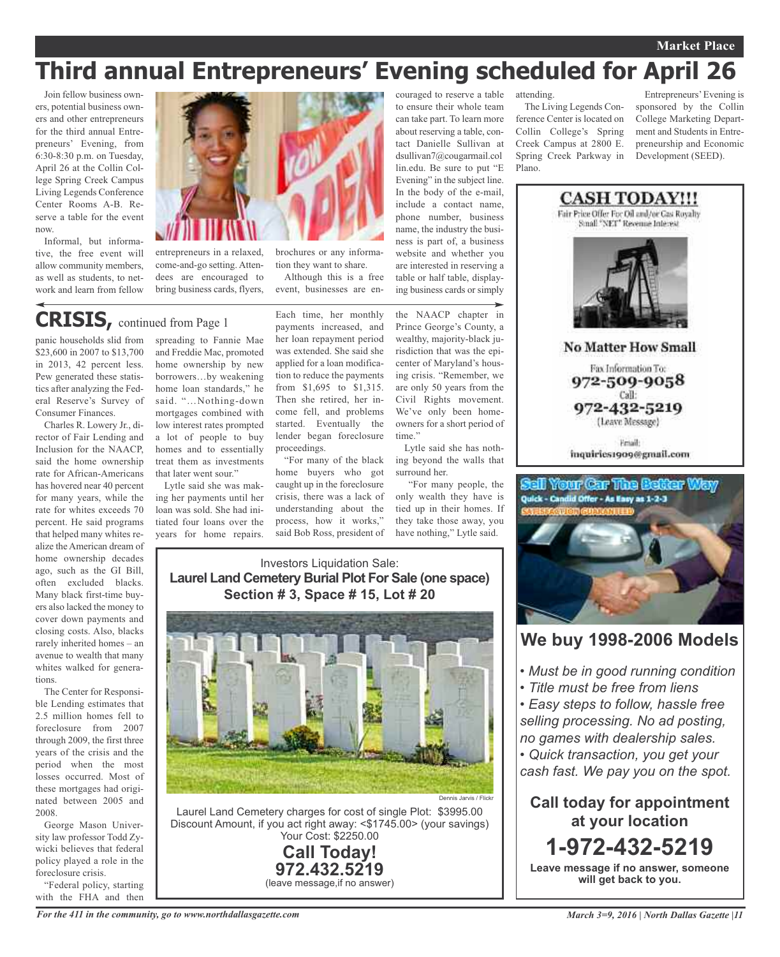### **Market Place**

## **Third annual Entrepreneurs' Evening scheduled for April 26**

Join fellow business owners, potential business owners and other entrepreneurs for the third annual Entrepreneurs' Evening, from 6:30-8:30 p.m. on Tuesday, April 26 at the Collin College Spring Creek Campus Living Legends Conference Center Rooms A-B. Reserve a table for the event now.

Informal, but informative, the free event will allow community members, as well as students, to network and learn from fellow



entrepreneurs in a relaxed, come-and-go setting. Attendees are encouraged to bring business cards, flyers,

## **CRISIS,** continued from Page <sup>1</sup>

panic households slid from \$23,600 in 2007 to \$13,700 in 2013, 42 percent less. Pew generated these statistics after analyzing the Federal Reserve's Survey of Consumer Finances.

Charles R. Lowery Jr., director of Fair Lending and Inclusion for the NAACP, said the home ownership rate for African-Americans has hovered near 40 percent for many years, while the rate for whites exceeds 70 percent. He said programs that helped many whites realize the American dream of home ownership decades ago, such as the GI Bill, often excluded blacks. Many black first-time buyers also lacked the money to cover down payments and closing costs. Also, blacks rarely inherited homes – an avenue to wealth that many whites walked for generations.

The Center for Responsible Lending estimates that 2.5 million homes fell to foreclosure from 2007 through 2009, the first three years of the crisis and the period when the most losses occurred. Most of these mortgages had originated between 2005 and 2008.

George Mason University law professor Todd Zywicki believes that federal policy played a role in the foreclosure crisis.

"Federal policy, starting with the FHA and then

spreading to Fannie Mae and Freddie Mac, promoted home ownership by new borrowers…by weakening home loan standards," he said. "…Nothing-down mortgages combined with low interest rates prompted a lot of people to buy homes and to essentially treat them as investments

that later went sour." Lytle said she was making her payments until her loan was sold. She had initiated four loans over the years for home repairs.

Each time, her monthly payments increased, and her loan repayment period was extended. She said she applied for a loan modification to reduce the payments from \$1,695 to \$1,315. Then she retired, her income fell, and problems started. Eventually the lender began foreclosure proceedings.

tion they want to share. Although this is a free event, businesses are en-

"For many of the black home buyers who got caught up in the foreclosure crisis, there was a lack of understanding about the process, how it works," said Bob Ross, president of

couraged to reserve a table to ensure their whole team can take part. To learn more about reserving a table, contact Danielle Sullivan at dsullivan7@cougarmail.col lin.edu. Be sure to put "E Evening" in the subject line. In the body of the e-mail, include a contact name, phone number, business name, the industry the business is part of, a business website and whether you are interested in reserving a table or half table, displaying business cards or simply

the NAACP chapter in Prince George's County, a wealthy, majority-black jurisdiction that was the epicenter of Maryland's housing crisis. "Remember, we are only 50 years from the Civil Rights movement. We've only been homeowners for a short period of

Lytle said she has nothing beyond the walls that

they take those away, you

time."

surround her.

#### attending.

The Living Legends Conference Center is located on Collin College's Spring Creek Campus at 2800 E. Spring Creek Parkway in Plano.

Entrepreneurs'Evening is sponsored by the Collin College Marketing Department and Students in Entrepreneurship and Economic Development (SEED).





### **We buy 1998-2006 Models**

- *• Must be in good running condition*
- *• Title must be free from liens*

*• Easy steps to follow, hassle free selling processing. No ad posting, no games with dealership sales.*

*• Quick transaction, you get your cash fast. We pay you on the spot.*

**Call today for appointment at your location 1-972-432-5219 Leave message if no answer, someone**

**will get back to you.**

*For the 411 in the community, go to www.northdallasgazette.com*

have nothing," Lytle said. Investors Liquidation Sale: **Laurel Land Cemetery Burial Plot For Sale (one space) Section # 3, Space # 15, Lot # 20**



Laurel Land Cemetery charges for cost of single Plot: \$3995.00 Discount Amount, if you act right away: <\$1745.00> (your savings) Your Cost: \$2250.00

### **Call Today! 972.432.5219** (leave message,if no answer)

*March 3=9, 2016 | North Dallas Gazette |11*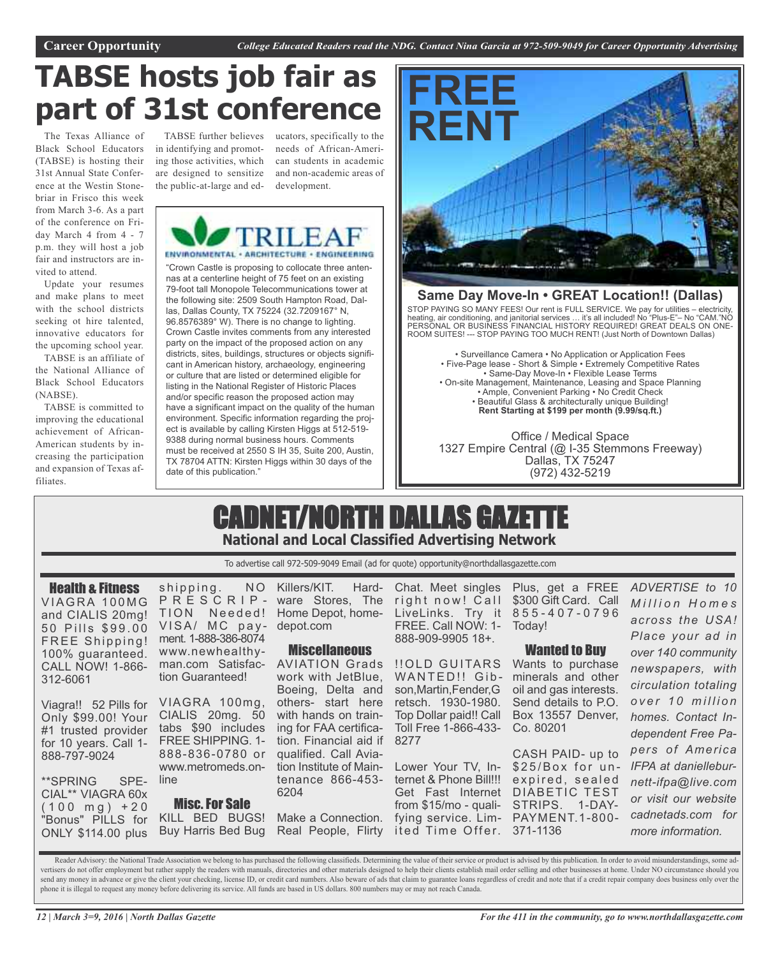# **TABSE hosts job fair as part of 31st conference**

The Texas Alliance of Black School Educators (TABSE) is hosting their 31st Annual State Conference at the Westin Stonebriar in Frisco this week from March 3-6. As a part of the conference on Friday March 4 from 4 - 7 p.m. they will host a job fair and instructors are invited to attend.

Update your resumes and make plans to meet with the school districts seeking ot hire talented, innovative educators for the upcoming school year.

TABSE is an affiliate of the National Alliance of Black School Educators (NABSE).

TABSE is committed to improving the educational achievement of African-American students by increasing the participation and expansion of Texas affiliates.

in identifying and promoting those activities, which are designed to sensitize the public-at-large and ed-

TABSE further believes ucators, specifically to the needs of African-American students in academic and non-academic areas of development.



"Crown Castle is proposing to collocate three antennas at a centerline height of 75 feet on an existing 79-foot tall Monopole Telecommunications tower at the following site: 2509 South Hampton Road, Dallas, Dallas County, TX 75224 (32.7209167° N, 96.8576389° W). There is no change to lighting. Crown Castle invites comments from any interested party on the impact of the proposed action on any districts, sites, buildings, structures or objects significant in American history, archaeology, engineering or culture that are listed or determined eligible for listing in the National Register of Historic Places and/or specific reason the proposed action may have a significant impact on the quality of the human environment. Specific information regarding the project is available by calling Kirsten Higgs at 512-519- 9388 during normal business hours. Comments must be received at 2550 S IH 35, Suite 200, Austin, TX 78704 ATTN: Kirsten Higgs within 30 days of the date of this publication."



### **Same Day Move-In • GREAT Location!! (Dallas)**

STOP PAYING SO MANY FEES! Our rent is FULL SERVICE. We pay for utilities – electricity, heating, air conditioning, and janitorial services … it's all included! No "Plus-E"– No "CAM."NO PERSONAL OR BUSINESS FINANCIAL HISTORY REQUIRED! GREAT DEALS ON ONE-ROOM SUITES! --- STOP PAYING TOO MUCH RENT! (Just North of Downtown Dallas)

• Surveillance Camera • No Application or Application Fees • Five-Page lease - Short & Simple • Extremely Competitive Rates • Same-Day Move-In • Flexible Lease Terms • On-site Management, Maintenance, Leasing and Space Planning • Ample, Convenient Parking • No Credit Check • Beautiful Glass & architecturally unique Building! **Rent Starting at \$199 per month (9.99/sq.ft.)**

Office / Medical Space 1327 Empire Central (@ I-35 Stemmons Freeway) Dallas, TX 75247 (972) 432-5219

## CADNET/NORTH DALLAS GAZETTE **National and Local Classified Advertising Network**

To advertise call 972-509-9049 Email (ad for quote) opportunity@northdallasgazette.com

Health & Fitness VIAGRA 100MG and CIALIS 20mg! 50 Pills \$99.00 FREE Shipping! 100% guaranteed. CALL NOW! 1-866- 312-6061

Viagra!! 52 Pills for VIAGRA 100mg, Only \$99.00! Your #1 trusted provider for 10 years. Call 1- 888-797-9024

\*\*SPRING SPE-CIAL\*\* VIAGRA 60x  $(100 \text{ mg}) + 20$ "Bonus" PILLS for ONLY \$114.00 plus

shipping. NO P R E S C R I P - ware Stores, The TION Needed! Home Depot, home-VISA/ MC payment. 1-888-386-8074 www.newhealthyman.com Satisfaction Guaranteed!

CIALIS 20mg. 50 tabs \$90 includes FREE SHIPPING. 1- 888-836-0780 or www.metromeds.online

Misc.For Sale KILL BED BUGS! Buy Harris Bed Bug

Killers/KIT. Harddepot.com

### **Miscellaneous**

AVIATION Grads work with JetBlue, Boeing, Delta and others- start here with hands on training for FAA certification. Financial aid if qualified. Call Aviation Institute of Maintenance 866-453- 6204

Make a Connection. Real People, Flirty

Chat. Meet singles right now! Call LiveLinks. Try it 8 5 5 - 4 0 7 - 0 7 9 6 FREE. Call NOW: 1- Today! 888-909-9905 18+.

!!OLD GUITARS Wants to purchase WANTED!! Gib- minerals and other son,Martin,Fender,G retsch. 1930-1980. Top Dollar paid!! Call Toll Free 1-866-433- Co. 80201 8277

Lower Your TV, Internet & Phone Bill!!! expired, sealed Get Fast Internet DIABETIC TEST from \$15/mo - quali-STRIPS. 1-DAYfying service. Lim-PAYMENT.1-800 ited Time Offer. 371-1136

Plus, get a FREE \$300 Gift Card. Call

### Wanted to Buy

oil and gas interests. Send details to P.O. Box 13557 Denver,

CASH PAID- up to \$25/Box for un-

*M i l l i o n H o m e s across the USA! Place your ad in over 140 community newspapers, with circulation totaling o v e r 1 0 m i l l i o n homes. Contact Independent Free Papers of America IFPA at danielleburnett-ifpa@live.com or visit our website cadnetads.com for more information.*

*ADVERTISE to 10*

Reader Advisory: the National Trade Association we belong to has purchased the following classifieds. Determining the value of their service or product is advised by this publication. In order to avoid misunderstandings, s vertisers do not offer employment but rather supply the readers with manuals, directories and other materials designed to help their clients establish mail order selling and other businesses at home. Under NO circumstance send any money in advance or give the client your checking, license ID, or credit card numbers. Also beware of ads that claim to guarantee loans regardless of credit and note that if a credit repair company does business o phone it is illegal to request any money before delivering its service. All funds are based in US dollars. 800 numbers may or may not reach Canada.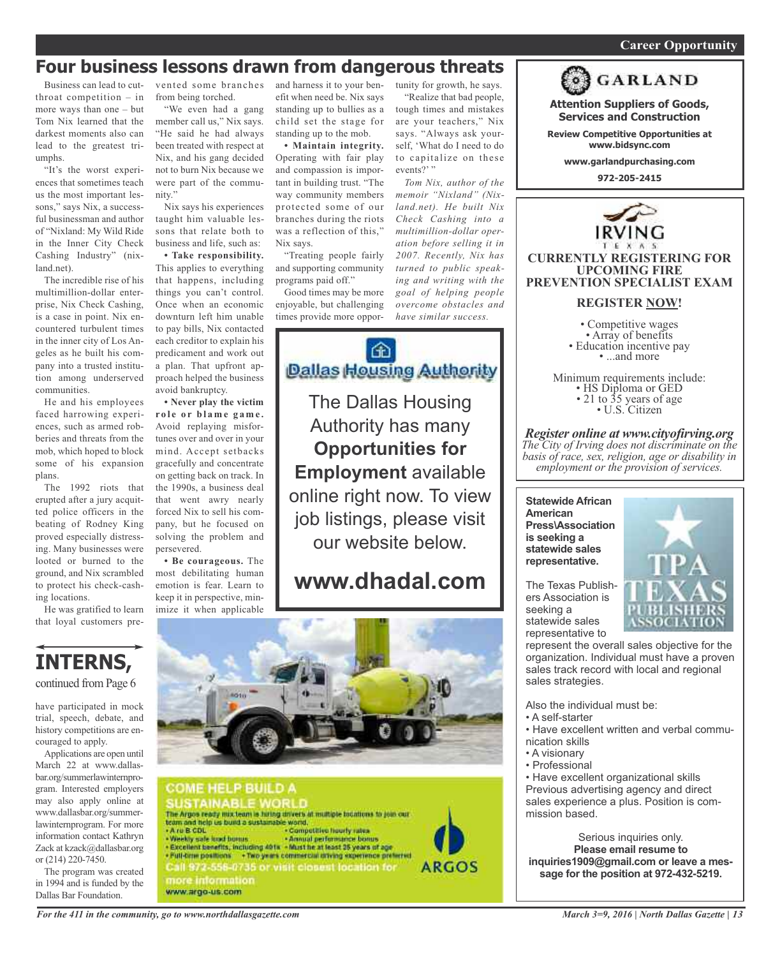### *On a quest for qualified candidates? Contact Nina Garcia at 972-509-9049* **Career Opportunity**

## **Four business lessons drawn from dangerous threats**

Business can lead to cutthroat competition – in more ways than one – but Tom Nix learned that the darkest moments also can lead to the greatest triumphs.

"It's the worst experiences that sometimes teach us the most important lessons," says Nix, a successful businessman and author of "Nixland: My Wild Ride in the Inner City Check Cashing Industry" (nixland.net).

The incredible rise of his multimillion-dollar enterprise, Nix Check Cashing, is a case in point. Nix encountered turbulent times in the inner city of Los Angeles as he built his company into a trusted institution among underserved communities.

He and his employees faced harrowing experiences, such as armed robberies and threats from the mob, which hoped to block some of his expansion plans.

The 1992 riots that erupted after a jury acquitted police officers in the beating of Rodney King proved especially distressing. Many businesses were looted or burned to the ground, and Nix scrambled to protect his check-cashing locations.

He was gratified to learn that loyal customers pre-

**INTERNS,**

continued from Page 6

have participated in mock trial, speech, debate, and history competitions are en-

Applications are open until March 22 at www.dallasbar.org/summerlawinternprogram. Interested employers may also apply online at www.dallasbar.org/summerlawinternprogram. For more information contact Kathryn Zack at kzack@dallasbar.org

The program was created in 1994 and is funded by the Dallas Bar Foundation.

couraged to apply.

or (214) 220-7450.

from being torched.

"We even had a gang member call us," Nix says. "He said he had always been treated with respect at Nix, and his gang decided not to burn Nix because we were part of the community."

Nix says his experiences taught him valuable lessons that relate both to business and life, such as:

**• Take responsibility.** This applies to everything that happens, including things you can't control. Once when an economic downturn left him unable to pay bills, Nix contacted each creditor to explain his predicament and work out a plan. That upfront approach helped the business avoid bankruptcy.

**• Never play the victim r o l e o r b l a m e g a m e .** Avoid replaying misfortunes over and over in your mind. Accept setbacks gracefully and concentrate on getting back on track. In the 1990s, a business deal that went awry nearly forced Nix to sell his company, but he focused on solving the problem and persevered.

**• Be courageous.** The most debilitating human emotion is fear. Learn to keep it in perspective, minimize it when applicable

vented some branches and harness it to your benefit when need be. Nix says standing up to bullies as a child set the stage for standing up to the mob.

> **• Maintain integrity.** Operating with fair play and compassion is important in building trust. "The way community members protected some of our branches during the riots was a reflection of this," Nix says.

> "Treating people fairly and supporting community programs paid off."

Good times may be more enjoyable, but challenging times provide more oppor-



The Dallas Housing Authority has many **Opportunities for Employment** available online right now. To view job listings, please visit our website below.

## **www.dhadal.com**



**COME HELP BUILD A USTAINABLE WORLD** The Argos ready mix team is hiring drivers at multiple fountions to join our team and help us bund a sustainable world.<br>• A ru B CDL - Competitive hourly raise<br>• Weekly sale load burns - Annual performance bom - Weekly sale laad bonus ... . Annual performance bonus<br>• Excellent benefits, including 401s - Must he at least 25 years of age Full-trainpoillent +Technist contracts shing species potential<br>Call 372-556-0735 or visit closest location for<br>more information **ARGOS** www.argo-us.com

tunity for growth, he says. "Realize that bad people, tough times and mistakes are your teachers," Nix says. "Always ask yourself, 'What do I need to do to capitalize on these events?' "

*Tom Nix, author of the memoir "Nixland" (Nixland.net). He built Nix Check Cashing into a multimillion-dollar operation before selling it in 2007. Recently, Nix has turned to public speaking and writing with the goal of helping people overcome obstacles and have similar success.*



**Attention Suppliers of Goods, Services and Construction**

**Review Competitive Opportunities at www.bidsync.com**

**www.garlandpurchasing.com**

**972-205-2415**



### **REGISTER NOW!**

• Competitive wages<br>• Array of benefits<br>• Education incentive pay<br>• ...and more

Minimum requirements include:<br>
• HS Diploma or GED<br>
• 21 to 35 years of age<br>
• U.S. Citizen

*Register online at www.cityofirving.org The City of Irving does not discriminate on the basis of race, sex, religion, age or disability in employment or the provision of services.*

**Statewide African American Press\Association is seeking a statewide sales representative.**

The Texas Publishers Association is seeking a statewide sales representative to



represent the overall sales objective for the organization. Individual must have a proven sales track record with local and regional sales strategies.

Also the individual must be:

- A self-starter
- Have excellent written and verbal communication skills
- A visionary
- Professional

• Have excellent organizational skills Previous advertising agency and direct sales experience a plus. Position is commission based.

Serious inquiries only. **Please email resume to inquiries1909@gmail.com or leave a message for the position at 972-432-5219.**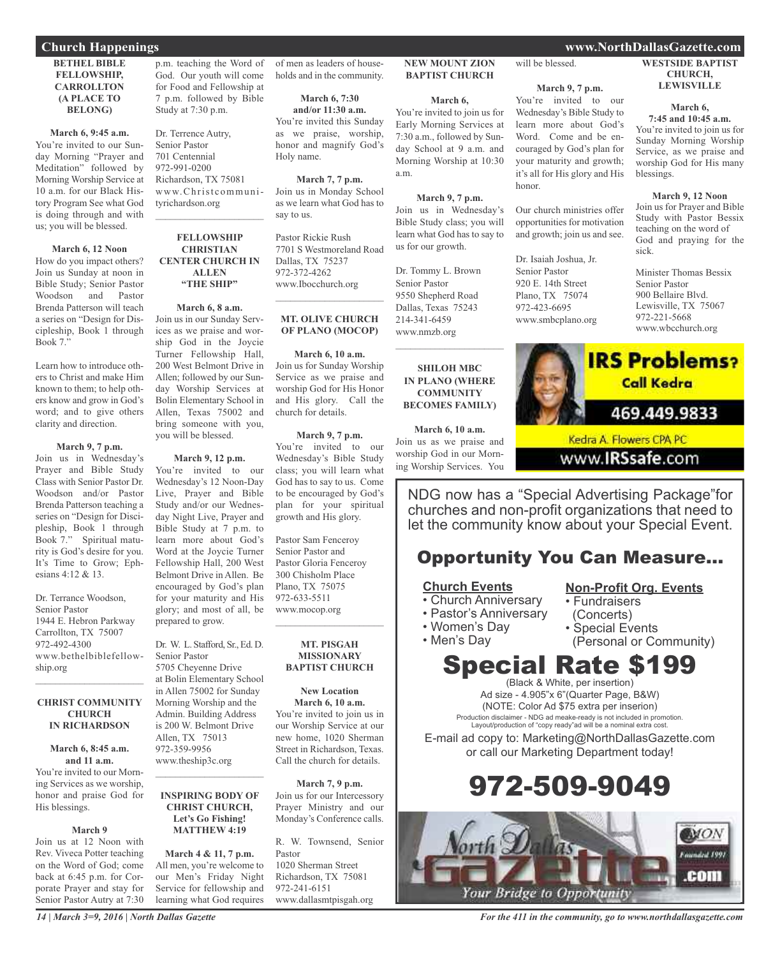### **BETHEL BIBLE FELLOWSHIP, CARROLLTON (A PLACE TO BELONG)**

**March 6, 9:45 a.m.** You're invited to our Sunday Morning "Prayer and Meditation" followed by Morning Worship Service at 10 a.m. for our Black History Program See what God is doing through and with us; you will be blessed.

#### **March 6, 12 Noon**

How do you impact others? Join us Sunday at noon in Bible Study; Senior Pastor Woodson and Pastor Brenda Patterson will teach a series on "Design for Discipleship, Book 1 through Book 7."

Learn how to introduce others to Christ and make Him known to them; to help others know and grow in God's word; and to give others clarity and direction.

### **March 9, 7 p.m.**

Join us in Wednesday's Prayer and Bible Study Class with Senior Pastor Dr. Woodson and/or Pastor Brenda Patterson teaching a series on "Design for Discipleship, Book 1 through Book 7." Spiritual maturity is God's desire for you. It's Time to Grow; Ephesians 4:12 & 13.

Dr. Terrance Woodson, Senior Pastor 1944 E. Hebron Parkway Carrollton, TX 75007 972-492-4300 www.bethelbiblefellowship.org

### **CHRIST COMMUNITY CHURCH IN RICHARDSON**

 $\mathcal{L}_\mathcal{L}$  , where  $\mathcal{L}_\mathcal{L}$  is the set of the set of the set of the set of the set of the set of the set of the set of the set of the set of the set of the set of the set of the set of the set of the set of the

#### **March 6, 8:45 a.m. and 11 a.m.**

You're invited to our Morning Services as we worship, honor and praise God for His blessings.

#### **March 9**

Join us at 12 Noon with Rev. Viveca Potter teaching on the Word of God; come back at 6:45 p.m. for Corporate Prayer and stay for Senior Pastor Autry at 7:30 p.m. teaching the Word of God. Our youth will come for Food and Fellowship at 7 p.m. followed by Bible Study at 7:30 p.m.

Dr. Terrence Autry, Senior Pastor 701 Centennial 972-991-0200 Richardson, TX 75081 www.Christcommunityrichardson.org  $\mathcal{L}_\text{max}$  , which is a set of the set of the set of the set of the set of the set of the set of the set of the set of the set of the set of the set of the set of the set of the set of the set of the set of the set of

### **FELLOWSHIP CHRISTIAN CENTER CHURCH IN ALLEN "THE SHIP"**

**March 6, 8 a.m.** Join us in our Sunday Services as we praise and worship God in the Joycie Turner Fellowship Hall, 200 West Belmont Drive in Allen; followed by our Sunday Worship Services at Bolin Elementary School in Allen, Texas 75002 and bring someone with you, you will be blessed.

### **March 9, 12 p.m.**

You're invited to our Wednesday's 12 Noon-Day Live, Prayer and Bible Study and/or our Wednesday Night Live, Prayer and Bible Study at 7 p.m. to learn more about God's Word at the Joycie Turner Fellowship Hall, 200 West Belmont Drive in Allen. Be encouraged by God's plan for your maturity and His glory; and most of all, be prepared to grow.

Dr. W. L. Stafford, Sr., Ed. D. Senior Pastor

5705 Cheyenne Drive at Bolin Elementary School in Allen 75002 for Sunday Morning Worship and the Admin. Building Address is 200 W. Belmont Drive Allen, TX 75013 972-359-9956 www.theship3c.org

### **INSPIRING BODY OF CHRIST CHURCH, Let's Go Fishing! MATTHEW 4:19**

 $\mathcal{L}_\text{max}$  and  $\mathcal{L}_\text{max}$  and  $\mathcal{L}_\text{max}$ 

**March 4 & 11, 7 p.m.** All men, you're welcome to our Men's Friday Night Service for fellowship and learning what God requires

of men as leaders of households and in the community.

**March 6, 7:30 and/or 11:30 a.m.** You're invited this Sunday as we praise, worship, honor and magnify God's Holy name.

**March 7, 7 p.m.** Join us in Monday School as we learn what God has to say to us.

Pastor Rickie Rush 7701 S Westmoreland Road Dallas, TX 75237 972-372-4262 www.Ibocchurch.org  $\mathcal{L}=\mathcal{L}^{\mathcal{L}}$  , where  $\mathcal{L}^{\mathcal{L}}$  , we have the set of the set of the set of the set of the set of the set of the set of the set of the set of the set of the set of the set of the set of the set of the set of

### **MT. OLIVE CHURCH OF PLANO (MOCOP)**

**March 6, 10 a.m.** Join us for Sunday Worship Service as we praise and worship God for His Honor and His glory. Call the

**March 9, 7 p.m.**

church for details.

You're invited to our Wednesday's Bible Study class; you will learn what God has to say to us. Come to be encouraged by God's plan for your spiritual growth and His glory.

Pastor Sam Fenceroy Senior Pastor and Pastor Gloria Fenceroy 300 Chisholm Place Plano, TX 75075 972-633-5511 www.mocop.org  $\mathcal{L}=\mathcal{L}^{\mathcal{L}}$  , where  $\mathcal{L}^{\mathcal{L}}$  , we have the set of the set of the set of the set of the set of the set of the set of the set of the set of the set of the set of the set of the set of the set of the set of

### **MT. PISGAH MISSIONARY BAPTIST CHURCH**

**New Location March 6, 10 a.m.** You're invited to join us in our Worship Service at our new home, 1020 Sherman Street in Richardson, Texas. Call the church for details.

**March 7, 9 p.m.** Join us for our Intercessory Prayer Ministry and our Monday's Conference calls.

R. W. Townsend, Senior Pastor 1020 Sherman Street Richardson, TX 75081 972-241-6151

www.dallasmtpisgah.org

**BAPTIST CHURCH**

**NEW MOUNT ZION**

### **March 6,**

You're invited to join us for Early Morning Services at 7:30 a.m., followed by Sunday School at 9 a.m. and Morning Worship at 10:30 a.m.

### **March 9, 7 p.m.**

Join us in Wednesday's Bible Study class; you will

learn what God has to say to us for our growth. Dr. Tommy L. Brown Senior Pastor

9550 Shepherd Road Dallas, Texas 75243 214-341-6459 www.nmzb.org

 $\mathcal{L}$  , and the set of the set of the set of the set of the set of the set of the set of the set of the set of the set of the set of the set of the set of the set of the set of the set of the set of the set of the set

### **SHILOH MBC IN PLANO (WHERE COMMUNITY BECOMES FAMILY)**

**March 6, 10 a.m.** Join us as we praise and worship God in our Morning Worship Services. You

NDG now has a "Special Advertising Package"for churches and non-profit organizations that need to let the community know about your Special Event.

### Opportunity You Can Measure...

### **Church Events**

- Church Anniversary
- Pastor's Anniversary
- Women's Day
- Men's Day

### (Concerts)

• Special Events

• Fundraisers

(Personal or Community)

**Non-Profit Org. Events**

### Special Rate \$199 (Black & White, per insertion)

Ad size - 4.905"x 6"(Quarter Page, B&W) (NOTE: Color Ad \$75 extra per inserion) Production disclaimer - NDG ad meake-ready is not included in promotion. Layout/production of "copy ready"ad will be a nominal extra cost.

E-mail ad copy to: Marketing@NorthDallasGazette.com or call our Marketing Department today!





### **Church Happenings www.NorthDallasGazette.com**

**WESTSIDE BAPTIST CHURCH, LEWISVILLE**

#### **March 6, 7:45 and 10:45 a.m.**

You're invited to join us for Sunday Morning Worship Service, as we praise and worship God for His many

### **March 9, 12 Noon** Join us for Prayer and Bible

Study with Pastor Bessix teaching on the word of God and praying for the sick.

Minister Thomas Bessix Senior Pastor 900 Bellaire Blvd. Lewisville, TX 75067 972-221-5668 www.wbcchurch.org



www.**IRSsafe**.com

couraged by God's plan for your maturity and growth; it's all for His glory and His honor. blessings.

**March 9, 7 p.m.** You're invited to our Wednesday's Bible Study to learn more about God's Word. Come and be en-

will be blessed.

opportunities for motivation and growth; join us and see.

Our church ministries offer

Dr. Isaiah Joshua, Jr. Senior Pastor 920 E. 14th Street Plano, TX 75074 972-423-6695 www.smbcplano.org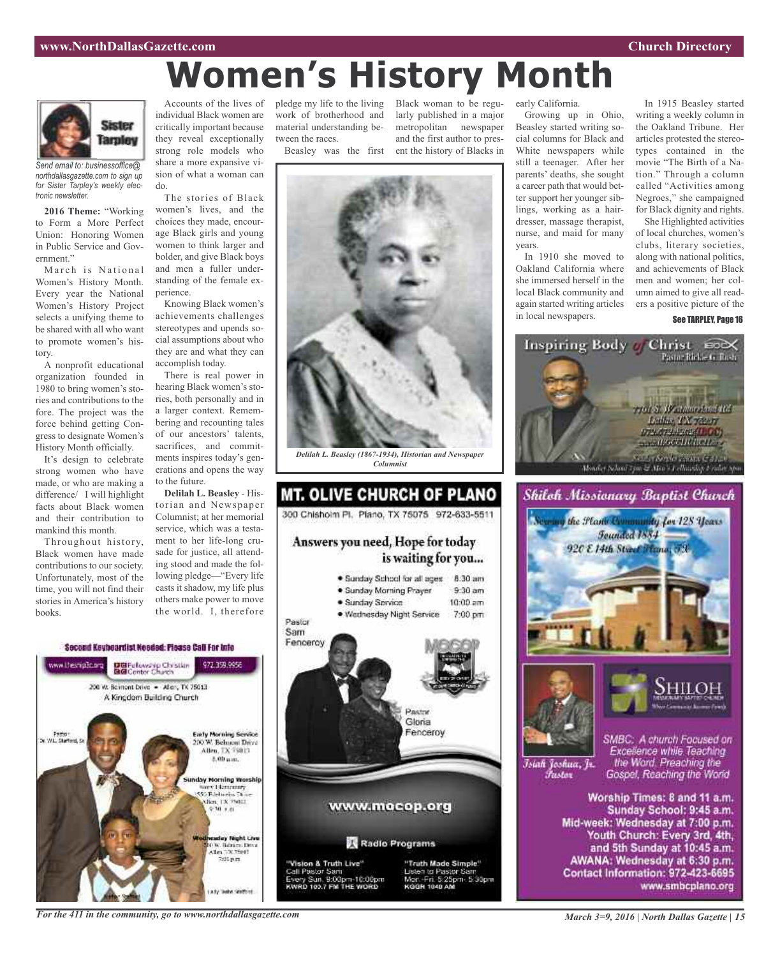# **Women's History Month**



*Send email to: businessoffice@ northdallasgazette.com to sign up for Sister Tarpley's weekly electronic newsletter.*

**2016 Theme:** "Working to Form a More Perfect Union: Honoring Women in Public Service and Government."

March is National Women's History Month. Every year the National Women's History Project selects a unifying theme to be shared with all who want to promote women's history.

A nonprofit educational organization founded in 1980 to bring women's stories and contributions to the fore. The project was the force behind getting Congress to designate Women's History Month officially.

It's design to celebrate strong women who have made, or who are making a difference/ I will highlight facts about Black women and their contribution to mankind this month.

Throughout history, Black women have made contributions to our society. Unfortunately, most of the time, you will not find their stories in America's history books.

Accounts of the lives of individual Black women are critically important because they reveal exceptionally strong role models who share a more expansive vision of what a woman can do.

The stories of Black women's lives, and the choices they made, encourage Black girls and young women to think larger and bolder, and give Black boys and men a fuller understanding of the female experience.

Knowing Black women's achievements challenges stereotypes and upends social assumptions about who they are and what they can accomplish today.

There is real power in hearing Black women's stories, both personally and in a larger context. Remembering and recounting tales of our ancestors' talents, sacrifices, and commitments inspires today's generations and opens the way to the future.

**Delilah L. Beasley** - Historian and Newspaper Columnist; at her memorial service, which was a testament to her life-long crusade for justice, all attending stood and made the following pledge—"Every life casts it shadow, my life plus others make power to move the world. I, therefore

Second Keybeardist Needed: Please Call For Into www.thesnipOp.org DBFelows to Christian<br>BGConter Church 977 778 0058 200 W. Bernont Dove - Allery, TX 75013 A Kingdom Building Church **Early Morning Service** Pasto"<br>Starferd, S 200 W. Behneni Drive<br>Allen, TX 75013 8,00 um. day Morning Worship Stereo Librariary<br>SSS Babbaros Thom 9:30 0.01 eaday Night Chu<br>0.9: Banim Diva<br>8.1m (120.1501)<br>- 200 p.m. ada Baha Stafford

pledge my life to the living work of brotherhood and material understanding between the races.

Black woman to be regularly published in a major metropolitan newspaper and the first author to pres-

Beasley was the first ent the history of Blacks in



### **MT. OLIVE CHURCH OF PLANO** 300 Chisholm Pl. Plano, TX 75075 972-633-5511 Answers you need, Hope for today is waiting for you... · Sunday School for all ages 8:30 am · Sunday Morning Prayer  $9.30$  am  $10:00$  am · Sunday Service · Wednesday Night Service 7:00 pm Pastor Sam Fenceroy **BASTOR** Gloria Fenceroy www.mocop.org Radio Programs "Vision & Truth Live" "Truth Made Simple" Call Pastor Sam usten to Pastor Sar ry Sun. 9:00pm-10:00pm<br>RD 103.7 FM THE WORD Mor: Fri. 5:25pm 5:30pm<br>KGGR 1040 AM

early California.

Growing up in Ohio, Beasley started writing social columns for Black and White newspapers while still a teenager. After her parents' deaths, she sought a career path that would better support her younger siblings, working as a hairdresser, massage therapist, nurse, and maid for many years.

In 1910 she moved to Oakland California where she immersed herself in the local Black community and again started writing articles in local newspapers.

In 1915 Beasley started writing a weekly column in the Oakland Tribune. Her articles protested the stereotypes contained in the movie "The Birth of a Nation." Through a column called "Activities among Negroes," she campaigned for Black dignity and rights.

She Highlighted activities of local churches, women's clubs, literary societies, along with national politics, and achievements of Black men and women; her column aimed to give all readers a positive picture of the See TARPLEY, Page 16









Īsiah Joshua, Jr. Fustor

SMBC: A church Focused on Excellence while Teaching the Word. Preaching the Gospel, Reaching the World

Worship Times: 8 and 11 a.m. Sunday School: 9:45 a.m. Mid-week: Wednesday at 7:00 p.m. Youth Church: Every 3rd, 4th, and 5th Sunday at 10:45 a.m. AWANA: Wednesday at 6:30 p.m. Contact Information: 972-423-6695 www.smbcplano.org

*For the 411 in the community, go to www.northdallasgazette.com*